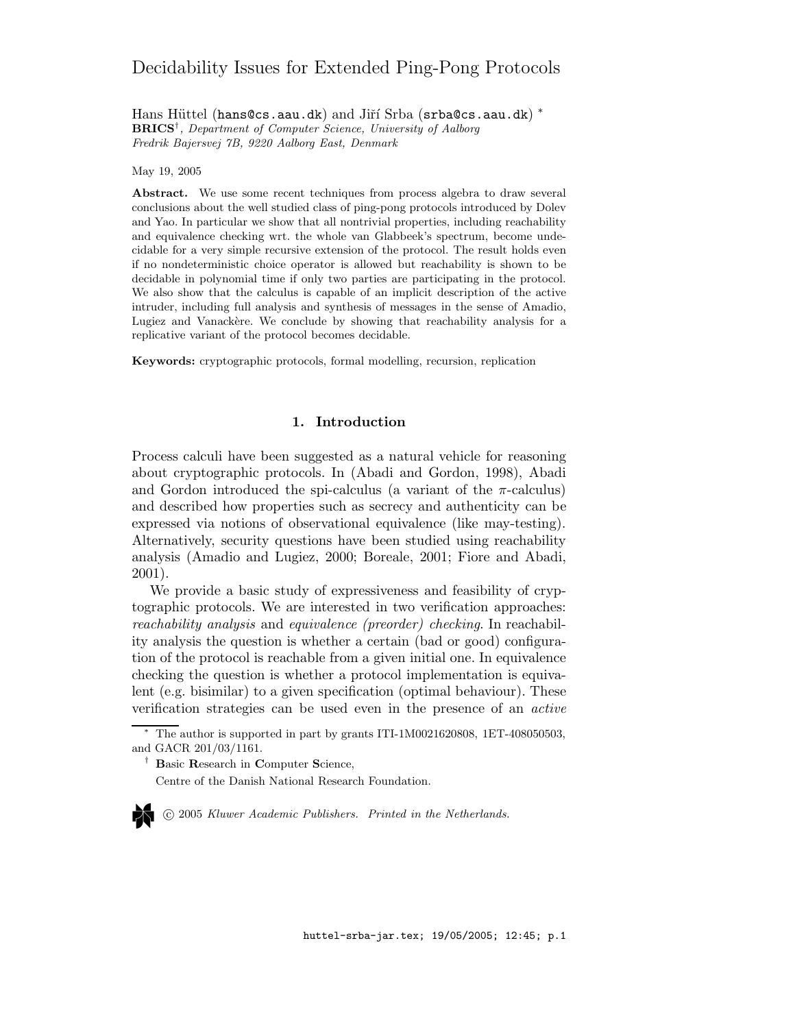# Decidability Issues for Extended Ping-Pong Protocols

Hans Hüttel (hans@cs.aau.dk) and Jiří Srba (srba@cs.aau.dk) \* BRICS† , Department of Computer Science, University of Aalborg Fredrik Bajersvej 7B, 9220 Aalborg East, Denmark

May 19, 2005

Abstract. We use some recent techniques from process algebra to draw several conclusions about the well studied class of ping-pong protocols introduced by Dolev and Yao. In particular we show that all nontrivial properties, including reachability and equivalence checking wrt. the whole van Glabbeek's spectrum, become undecidable for a very simple recursive extension of the protocol. The result holds even if no nondeterministic choice operator is allowed but reachability is shown to be decidable in polynomial time if only two parties are participating in the protocol. We also show that the calculus is capable of an implicit description of the active intruder, including full analysis and synthesis of messages in the sense of Amadio, Lugiez and Vanackère. We conclude by showing that reachability analysis for a replicative variant of the protocol becomes decidable.

Keywords: cryptographic protocols, formal modelling, recursion, replication

## 1. Introduction

Process calculi have been suggested as a natural vehicle for reasoning about cryptographic protocols. In (Abadi and Gordon, 1998), Abadi and Gordon introduced the spi-calculus (a variant of the  $\pi$ -calculus) and described how properties such as secrecy and authenticity can be expressed via notions of observational equivalence (like may-testing). Alternatively, security questions have been studied using reachability analysis (Amadio and Lugiez, 2000; Boreale, 2001; Fiore and Abadi, 2001).

We provide a basic study of expressiveness and feasibility of cryptographic protocols. We are interested in two verification approaches: reachability analysis and equivalence (preorder) checking. In reachability analysis the question is whether a certain (bad or good) configuration of the protocol is reachable from a given initial one. In equivalence checking the question is whether a protocol implementation is equivalent (e.g. bisimilar) to a given specification (optimal behaviour). These verification strategies can be used even in the presence of an active

c 2005 Kluwer Academic Publishers. Printed in the Netherlands.

 $*$  The author is supported in part by grants ITI-1M0021620808, 1ET-408050503, and GACR 201/03/1161.

<sup>&</sup>lt;sup>†</sup> Basic Research in Computer Science,

Centre of the Danish National Research Foundation.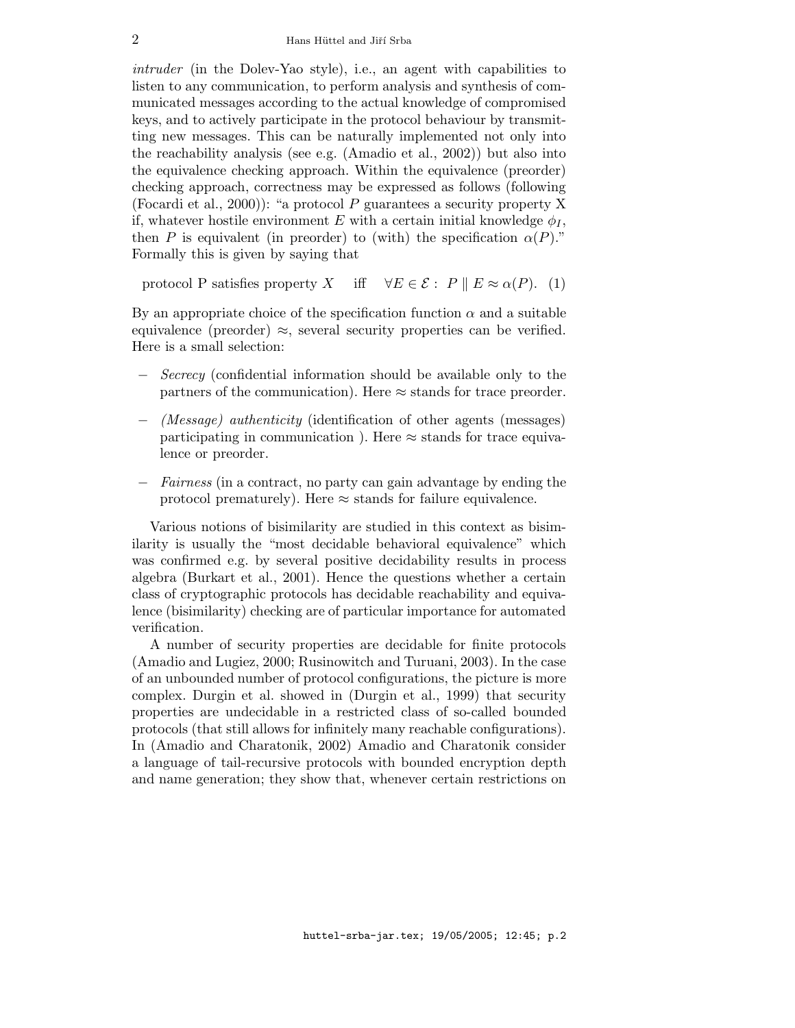intruder (in the Dolev-Yao style), i.e., an agent with capabilities to listen to any communication, to perform analysis and synthesis of communicated messages according to the actual knowledge of compromised keys, and to actively participate in the protocol behaviour by transmitting new messages. This can be naturally implemented not only into the reachability analysis (see e.g. (Amadio et al., 2002)) but also into the equivalence checking approach. Within the equivalence (preorder) checking approach, correctness may be expressed as follows (following (Focardi et al., 2000)): "a protocol P guarantees a security property X if, whatever hostile environment E with a certain initial knowledge  $\phi_I$ , then P is equivalent (in preorder) to (with) the specification  $\alpha(P)$ ." Formally this is given by saying that

protocol P satisfies property X iff  $\forall E \in \mathcal{E} : P \parallel E \approx \alpha(P)$ . (1)

By an appropriate choice of the specification function  $\alpha$  and a suitable equivalence (preorder)  $\approx$ , several security properties can be verified. Here is a small selection:

- − Secrecy (confidential information should be available only to the partners of the communication). Here  $\approx$  stands for trace preorder.
- − (Message) authenticity (identification of other agents (messages) participating in communication ). Here  $\approx$  stands for trace equivalence or preorder.
- − Fairness (in a contract, no party can gain advantage by ending the protocol prematurely). Here  $\approx$  stands for failure equivalence.

Various notions of bisimilarity are studied in this context as bisimilarity is usually the "most decidable behavioral equivalence" which was confirmed e.g. by several positive decidability results in process algebra (Burkart et al., 2001). Hence the questions whether a certain class of cryptographic protocols has decidable reachability and equivalence (bisimilarity) checking are of particular importance for automated verification.

A number of security properties are decidable for finite protocols (Amadio and Lugiez, 2000; Rusinowitch and Turuani, 2003). In the case of an unbounded number of protocol configurations, the picture is more complex. Durgin et al. showed in (Durgin et al., 1999) that security properties are undecidable in a restricted class of so-called bounded protocols (that still allows for infinitely many reachable configurations). In (Amadio and Charatonik, 2002) Amadio and Charatonik consider a language of tail-recursive protocols with bounded encryption depth and name generation; they show that, whenever certain restrictions on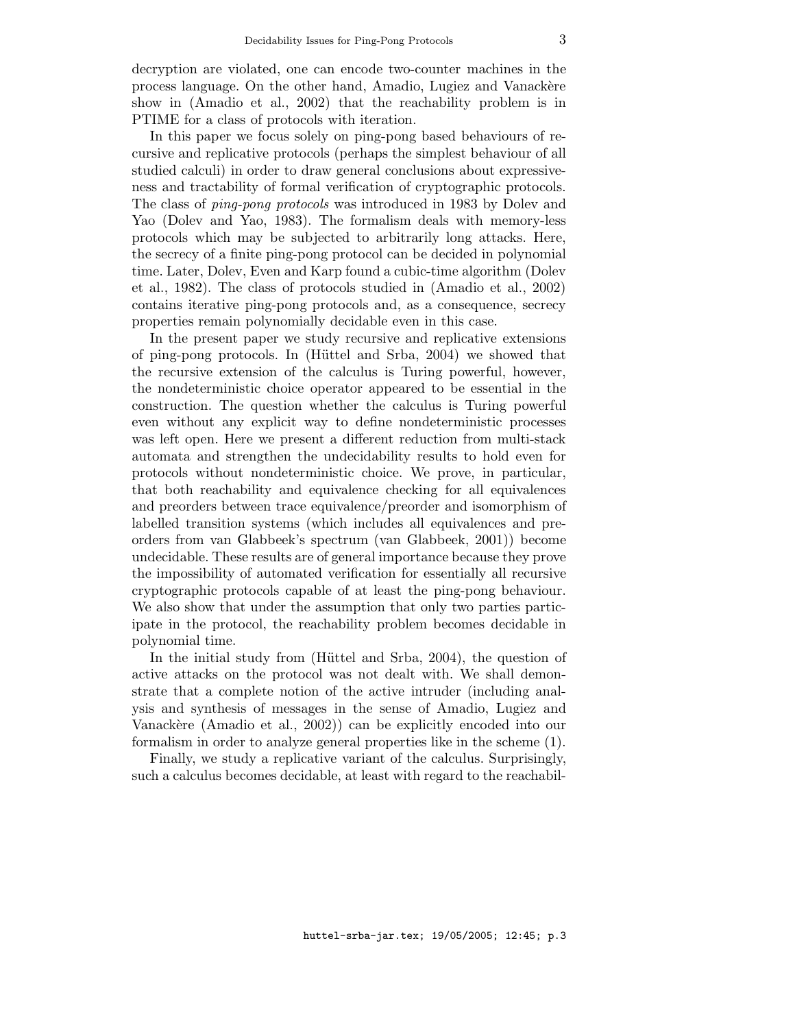decryption are violated, one can encode two-counter machines in the process language. On the other hand, Amadio, Lugiez and Vanackere show in (Amadio et al., 2002) that the reachability problem is in PTIME for a class of protocols with iteration.

In this paper we focus solely on ping-pong based behaviours of recursive and replicative protocols (perhaps the simplest behaviour of all studied calculi) in order to draw general conclusions about expressiveness and tractability of formal verification of cryptographic protocols. The class of ping-pong protocols was introduced in 1983 by Dolev and Yao (Dolev and Yao, 1983). The formalism deals with memory-less protocols which may be subjected to arbitrarily long attacks. Here, the secrecy of a finite ping-pong protocol can be decided in polynomial time. Later, Dolev, Even and Karp found a cubic-time algorithm (Dolev et al., 1982). The class of protocols studied in (Amadio et al., 2002) contains iterative ping-pong protocols and, as a consequence, secrecy properties remain polynomially decidable even in this case.

In the present paper we study recursive and replicative extensions of ping-pong protocols. In (Hüttel and Srba, 2004) we showed that the recursive extension of the calculus is Turing powerful, however, the nondeterministic choice operator appeared to be essential in the construction. The question whether the calculus is Turing powerful even without any explicit way to define nondeterministic processes was left open. Here we present a different reduction from multi-stack automata and strengthen the undecidability results to hold even for protocols without nondeterministic choice. We prove, in particular, that both reachability and equivalence checking for all equivalences and preorders between trace equivalence/preorder and isomorphism of labelled transition systems (which includes all equivalences and preorders from van Glabbeek's spectrum (van Glabbeek, 2001)) become undecidable. These results are of general importance because they prove the impossibility of automated verification for essentially all recursive cryptographic protocols capable of at least the ping-pong behaviour. We also show that under the assumption that only two parties participate in the protocol, the reachability problem becomes decidable in polynomial time.

In the initial study from (Hüttel and Srba, 2004), the question of active attacks on the protocol was not dealt with. We shall demonstrate that a complete notion of the active intruder (including analysis and synthesis of messages in the sense of Amadio, Lugiez and Vanackère (Amadio et al., 2002)) can be explicitly encoded into our formalism in order to analyze general properties like in the scheme (1).

Finally, we study a replicative variant of the calculus. Surprisingly, such a calculus becomes decidable, at least with regard to the reachabil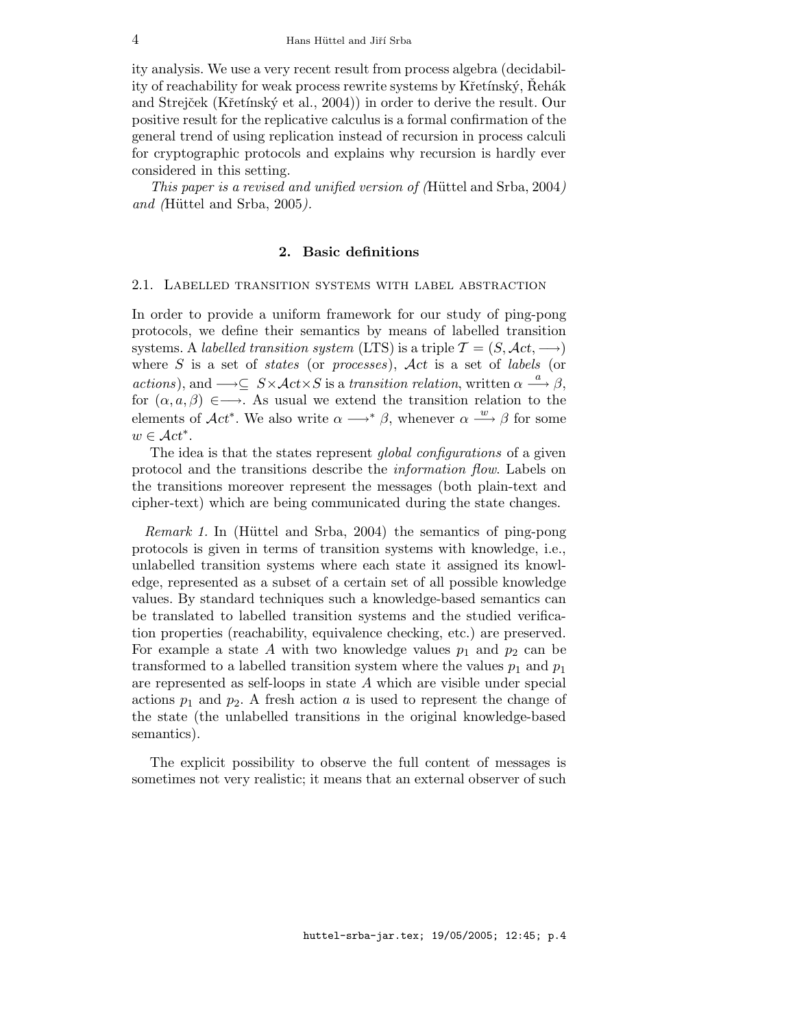ity analysis. We use a very recent result from process algebra (decidability of reachability for weak process rewrite systems by Křetínský, Rehák and Strejček (Křetínský et al., 2004)) in order to derive the result. Our positive result for the replicative calculus is a formal confirmation of the general trend of using replication instead of recursion in process calculi for cryptographic protocols and explains why recursion is hardly ever considered in this setting.

This paper is a revised and unified version of (Hüttel and Srba, 2004) and (Hüttel and Srba,  $2005$ ).

#### 2. Basic definitions

#### 2.1. Labelled transition systems with label abstraction

In order to provide a uniform framework for our study of ping-pong protocols, we define their semantics by means of labelled transition systems. A labelled transition system (LTS) is a triple  $\mathcal{T} = (S, \mathcal{A}ct, \longrightarrow)$ where  $S$  is a set of *states* (or *processes*),  $\mathcal{A}ct$  is a set of *labels* (or actions), and  $\longrightarrow \subseteq S \times \mathcal{A}ct \times S$  is a transition relation, written  $\alpha \stackrel{a}{\longrightarrow} \beta$ , for  $(\alpha, a, \beta) \in \longrightarrow$ . As usual we extend the transition relation to the elements of  $\mathcal{A}ct^*$ . We also write  $\alpha \longrightarrow^* \beta$ , whenever  $\alpha \stackrel{w}{\longrightarrow} \beta$  for some  $w \in \mathcal{A}ct^*$ .

The idea is that the states represent global configurations of a given protocol and the transitions describe the information flow. Labels on the transitions moreover represent the messages (both plain-text and cipher-text) which are being communicated during the state changes.

*Remark 1.* In (Hüttel and Srba, 2004) the semantics of ping-pong protocols is given in terms of transition systems with knowledge, i.e., unlabelled transition systems where each state it assigned its knowledge, represented as a subset of a certain set of all possible knowledge values. By standard techniques such a knowledge-based semantics can be translated to labelled transition systems and the studied verification properties (reachability, equivalence checking, etc.) are preserved. For example a state A with two knowledge values  $p_1$  and  $p_2$  can be transformed to a labelled transition system where the values  $p_1$  and  $p_1$ are represented as self-loops in state A which are visible under special actions  $p_1$  and  $p_2$ . A fresh action a is used to represent the change of the state (the unlabelled transitions in the original knowledge-based semantics).

The explicit possibility to observe the full content of messages is sometimes not very realistic; it means that an external observer of such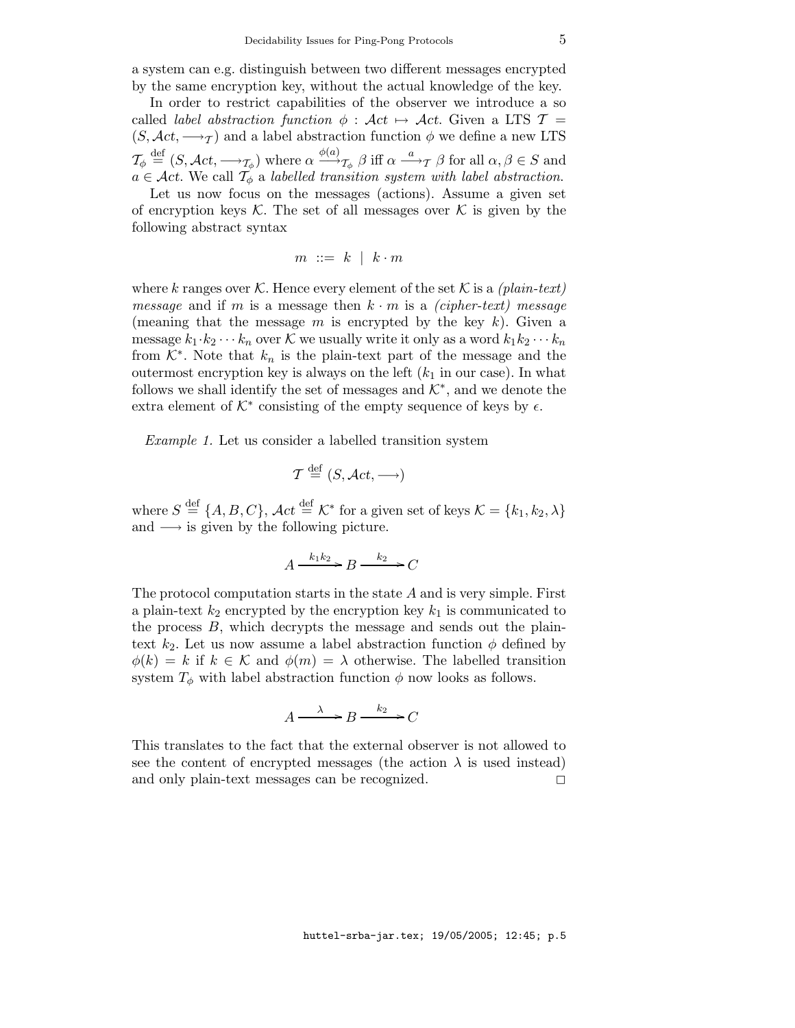a system can e.g. distinguish between two different messages encrypted by the same encryption key, without the actual knowledge of the key.

In order to restrict capabilities of the observer we introduce a so called *label abstraction function*  $\phi : \mathcal{A}ct \mapsto \mathcal{A}ct$ . Given a LTS  $\mathcal{T} =$  $(S, \mathcal{A}ct, \longrightarrow_{\mathcal{T}})$  and a label abstraction function  $\phi$  we define a new LTS  $\mathcal{T}_{\phi} \stackrel{\text{def}}{=} (S, \mathcal{A}ct, \longrightarrow_{\mathcal{T}_{\phi}})$  where  $\alpha \stackrel{\phi(a)}{\longrightarrow}_{\mathcal{T}_{\phi}} \beta$  iff  $\alpha \stackrel{a}{\longrightarrow}_{\mathcal{T}} \beta$  for all  $\alpha, \beta \in S$  and  $a \in \mathcal{A}$ ct. We call  $\mathcal{T}_{\phi}$  a labelled transition system with label abstraction.

Let us now focus on the messages (actions). Assume a given set of encryption keys  $K$ . The set of all messages over  $K$  is given by the following abstract syntax

$$
m \ ::= \ k \ | \ k \cdot m
$$

where k ranges over K. Hence every element of the set K is a (plain-text) *message* and if m is a message then  $k \cdot m$  is a *(cipher-text)* message (meaning that the message m is encrypted by the key  $k$ ). Given a message  $k_1 \cdot k_2 \cdots k_n$  over K we usually write it only as a word  $k_1 k_2 \cdots k_n$ from  $K^*$ . Note that  $k_n$  is the plain-text part of the message and the outermost encryption key is always on the left  $(k_1$  in our case). In what follows we shall identify the set of messages and  $\mathcal{K}^*$ , and we denote the extra element of  $K^*$  consisting of the empty sequence of keys by  $\epsilon$ .

Example 1. Let us consider a labelled transition system

$$
\mathcal{T} \stackrel{\text{def}}{=} (S, \mathcal{A}ct, \longrightarrow)
$$

where  $S \stackrel{\text{def}}{=} \{A, B, C\}$ ,  $\mathcal{A}ct \stackrel{\text{def}}{=} \mathcal{K}^*$  for a given set of keys  $\mathcal{K} = \{k_1, k_2, \lambda\}$ and  $\longrightarrow$  is given by the following picture.

$$
A \xrightarrow{k_1 k_2} B \xrightarrow{k_2} C
$$

The protocol computation starts in the state A and is very simple. First a plain-text  $k_2$  encrypted by the encryption key  $k_1$  is communicated to the process B, which decrypts the message and sends out the plaintext  $k_2$ . Let us now assume a label abstraction function  $\phi$  defined by  $\phi(k) = k$  if  $k \in \mathcal{K}$  and  $\phi(m) = \lambda$  otherwise. The labelled transition system  $T_{\phi}$  with label abstraction function  $\phi$  now looks as follows.

$$
A \xrightarrow{\lambda} B \xrightarrow{k_2} C
$$

This translates to the fact that the external observer is not allowed to see the content of encrypted messages (the action  $\lambda$  is used instead) and only plain-text messages can be recognized.  $\square$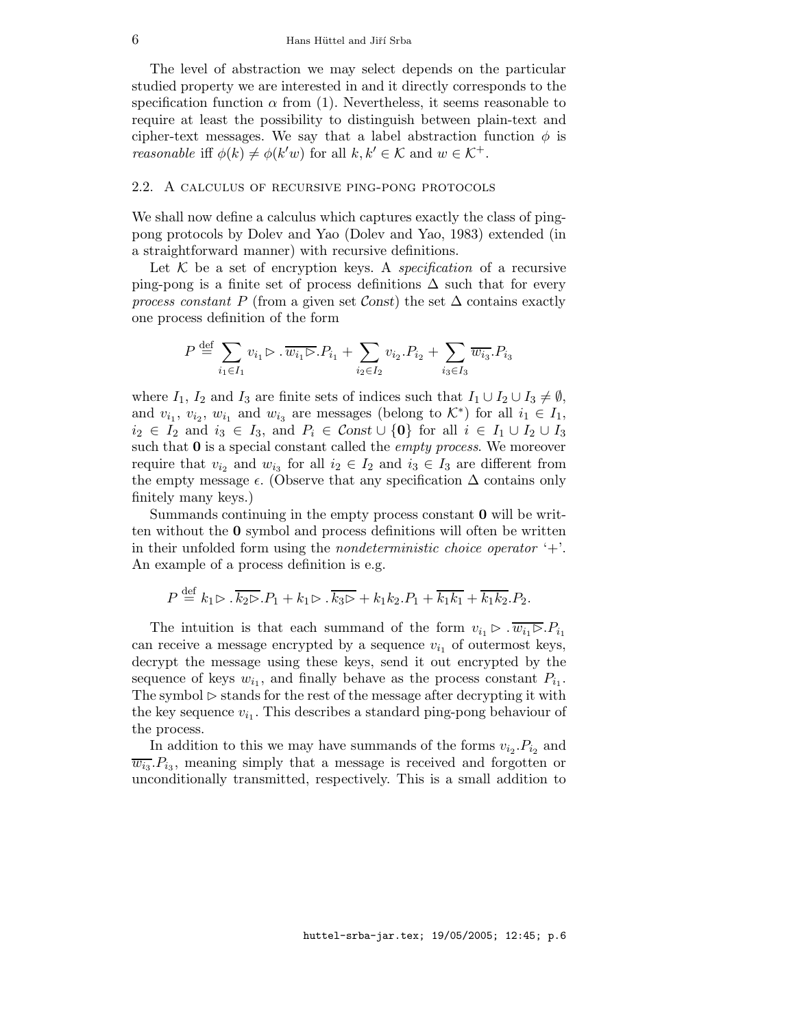The level of abstraction we may select depends on the particular studied property we are interested in and it directly corresponds to the specification function  $\alpha$  from (1). Nevertheless, it seems reasonable to require at least the possibility to distinguish between plain-text and cipher-text messages. We say that a label abstraction function  $\phi$  is *reasonable* iff  $\phi(k) \neq \phi(k'w)$  for all  $k, k' \in \mathcal{K}$  and  $w \in \mathcal{K}^+$ .

#### 2.2. A calculus of recursive ping-pong protocols

We shall now define a calculus which captures exactly the class of pingpong protocols by Dolev and Yao (Dolev and Yao, 1983) extended (in a straightforward manner) with recursive definitions.

Let  $K$  be a set of encryption keys. A *specification* of a recursive ping-pong is a finite set of process definitions  $\Delta$  such that for every process constant P (from a given set Const) the set  $\Delta$  contains exactly one process definition of the form

$$
P \stackrel{\text{def}}{=} \sum_{i_1 \in I_1} v_{i_1} \triangleright \overline{.w_{i_1} \triangleright . P_{i_1}} + \sum_{i_2 \in I_2} v_{i_2} \cdot P_{i_2} + \sum_{i_3 \in I_3} \overline{w_{i_3}} \cdot P_{i_3}
$$

where  $I_1$ ,  $I_2$  and  $I_3$  are finite sets of indices such that  $I_1 \cup I_2 \cup I_3 \neq \emptyset$ , and  $v_{i_1}, v_{i_2}, w_{i_1}$  and  $w_{i_3}$  are messages (belong to  $\mathcal{K}^*$ ) for all  $i_1 \in I_1$ ,  $i_2 \in I_2$  and  $i_3 \in I_3$ , and  $P_i \in \mathcal{C}$ onst  $\cup \{0\}$  for all  $i \in I_1 \cup I_2 \cup I_3$ such that  $\mathbf{0}$  is a special constant called the *empty process*. We moreover require that  $v_{i_2}$  and  $w_{i_3}$  for all  $i_2 \in I_2$  and  $i_3 \in I_3$  are different from the empty message  $\epsilon$ . (Observe that any specification  $\Delta$  contains only finitely many keys.)

Summands continuing in the empty process constant 0 will be written without the 0 symbol and process definitions will often be written in their unfolded form using the *nondeterministic choice operator*  $+$ . An example of a process definition is e.g.

$$
P \stackrel{\text{def}}{=} k_1 \triangleright \overline{k_2 \triangleright} P_1 + k_1 \triangleright \overline{k_3 \triangleright} + k_1 k_2 P_1 + \overline{k_1 k_1} + \overline{k_1 k_2} P_2.
$$

The intuition is that each summand of the form  $v_{i_1} \triangleright \overline{w_{i_1} \triangleright P_{i_1}}$ can receive a message encrypted by a sequence  $v_{i_1}$  of outermost keys, decrypt the message using these keys, send it out encrypted by the sequence of keys  $w_{i_1}$ , and finally behave as the process constant  $P_{i_1}$ . The symbol  $\triangleright$  stands for the rest of the message after decrypting it with the key sequence  $v_{i_1}$ . This describes a standard ping-pong behaviour of the process.

In addition to this we may have summands of the forms  $v_{i_2}$ .  $P_{i_2}$  and  $\overline{w_{i3}}. P_{i3}$ , meaning simply that a message is received and forgotten or unconditionally transmitted, respectively. This is a small addition to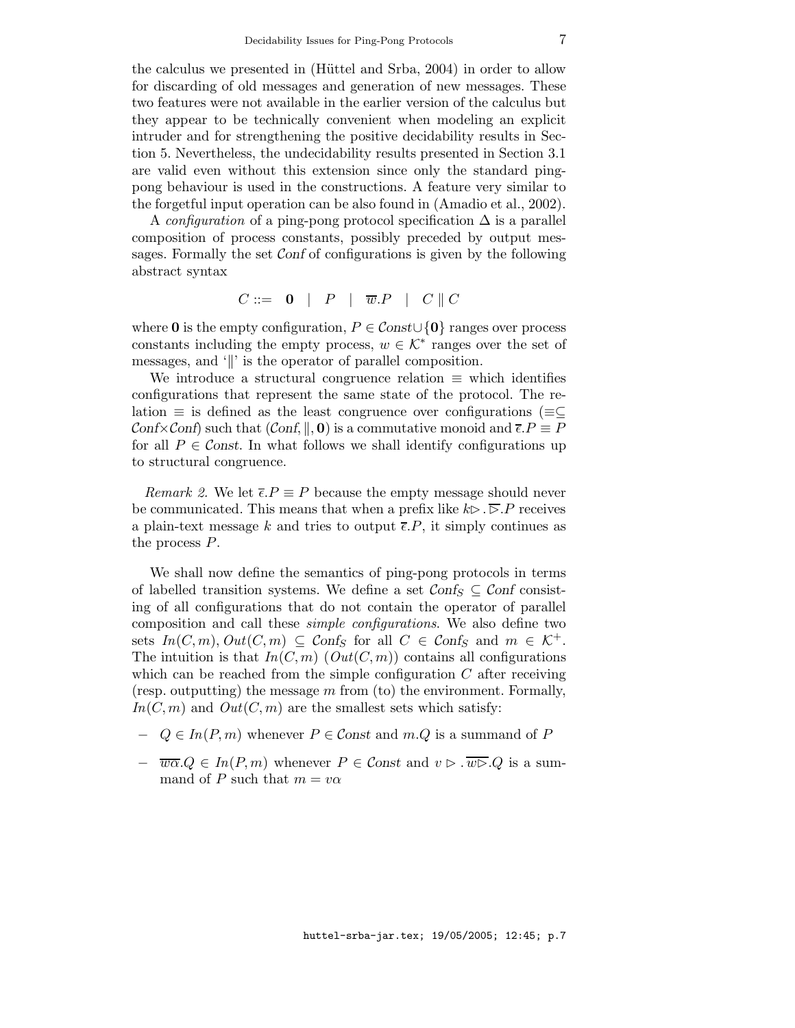the calculus we presented in (Hüttel and Srba, 2004) in order to allow for discarding of old messages and generation of new messages. These two features were not available in the earlier version of the calculus but they appear to be technically convenient when modeling an explicit intruder and for strengthening the positive decidability results in Section 5. Nevertheless, the undecidability results presented in Section 3.1 are valid even without this extension since only the standard pingpong behaviour is used in the constructions. A feature very similar to the forgetful input operation can be also found in (Amadio et al., 2002).

A configuration of a ping-pong protocol specification  $\Delta$  is a parallel composition of process constants, possibly preceded by output messages. Formally the set Conf of configurations is given by the following abstract syntax

$$
C ::= \begin{array}{c|c|c|c|c} \hline \textbf{0} & P & P & \overline{w}.P & C & C \end{array}
$$

where 0 is the empty configuration,  $P \in \mathcal{C}$  on  $\{0\}$  ranges over process constants including the empty process,  $w \in \mathcal{K}^*$  ranges over the set of messages, and '||' is the operator of parallel composition.

We introduce a structural congruence relation  $\equiv$  which identifies configurations that represent the same state of the protocol. The relation  $\equiv$  is defined as the least congruence over configurations ( $\equiv$  $\subseteq$ Conf $\times$ Conf) such that  $(Conf, \parallel, 0)$  is a commutative monoid and  $\overline{\epsilon} \cdot P \equiv P$ for all  $P \in \mathcal{C}$  onst. In what follows we shall identify configurations up to structural congruence.

Remark 2. We let  $\overline{\epsilon}P \equiv P$  because the empty message should never be communicated. This means that when a prefix like  $k\triangleright \cdot \triangleright P$  receives a plain-text message k and tries to output  $\overline{\epsilon}$ . P, it simply continues as the process P.

We shall now define the semantics of ping-pong protocols in terms of labelled transition systems. We define a set  $\mathcal{C} \text{onf}_S \subseteq \mathcal{C} \text{onf}$  consisting of all configurations that do not contain the operator of parallel composition and call these simple configurations. We also define two sets  $In(C, m), Out(C, m) \subseteq Conf_S$  for all  $C \in Conf_S$  and  $m \in \mathcal{K}^+$ . The intuition is that  $In(C, m)$  ( $Out(C, m)$ ) contains all configurations which can be reached from the simple configuration  $C$  after receiving (resp. outputting) the message  $m$  from (to) the environment. Formally,  $In(C, m)$  and  $Out(C, m)$  are the smallest sets which satisfy:

- $Q \in In(P, m)$  whenever  $P \in \mathcal{C}$  and  $m.Q$  is a summand of P
- $-\overline{w\alpha}.Q \in In(P,m)$  whenever  $P \in \mathcal{C}$  and  $v \triangleright \overline{w\triangleright}.Q$  is a summand of P such that  $m = v\alpha$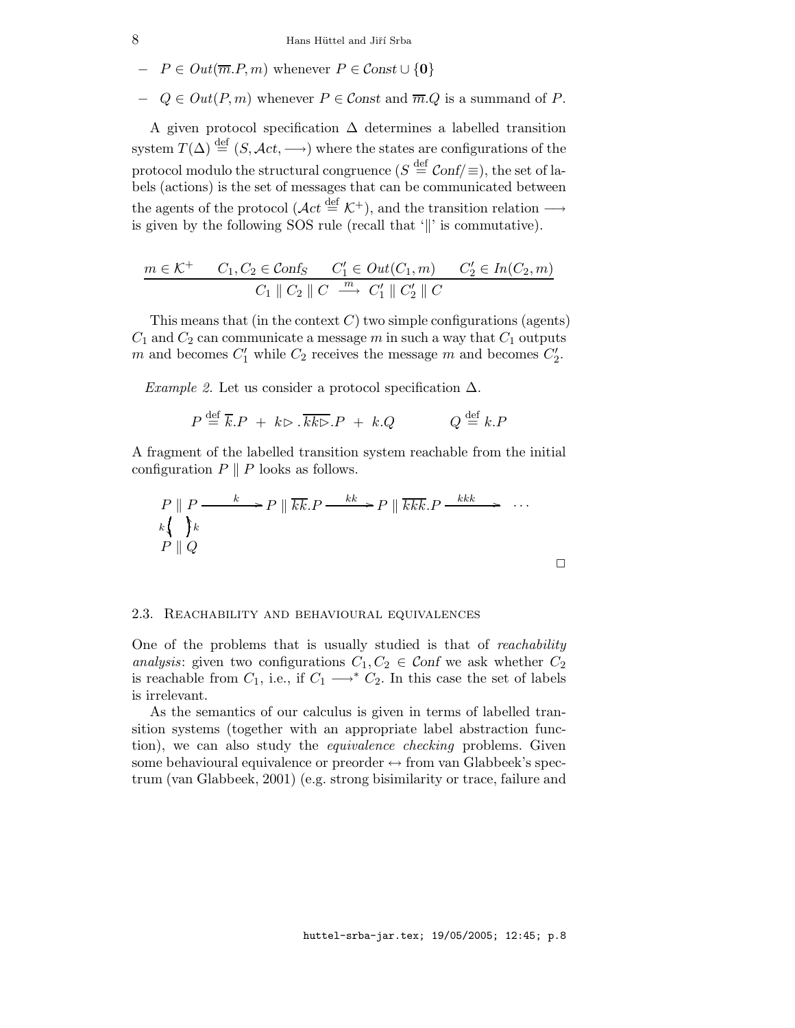$-P \in Out(\overline{m}.P,m)$  whenever  $P \in Const \cup \{0\}$ 

 $-Q \in Out(P,m)$  whenever  $P \in Const$  and  $\overline{m}.Q$  is a summand of P.

A given protocol specification ∆ determines a labelled transition system  $T(\Delta) \stackrel{\text{def}}{=} (S, \mathcal{A}ct, \longrightarrow)$  where the states are configurations of the protocol modulo the structural congruence  $(S \stackrel{\text{def}}{=} \mathcal{C}\text{onf}/\equiv),$  the set of labels (actions) is the set of messages that can be communicated between the agents of the protocol ( $\mathcal{A}ct \stackrel{\text{def}}{=} \mathcal{K}^+$ ), and the transition relation  $\longrightarrow$ is given by the following SOS rule (recall that  $\Vert$ ) is commutative).

$$
\frac{m \in \mathcal{K}^+ \quad C_1, C_2 \in \mathcal{C} \text{on} f_S \quad C_1' \in \mathcal{O}ut(C_1, m) \quad C_2' \in In(C_2, m)}{C_1 \parallel C_2 \parallel C \stackrel{m}{\longrightarrow} C_1' \parallel C_2' \parallel C}
$$

This means that (in the context  $C$ ) two simple configurations (agents)  $C_1$  and  $C_2$  can communicate a message m in such a way that  $C_1$  outputs m and becomes  $C'_1$  while  $C_2$  receives the message m and becomes  $C'_2$ .

Example 2. Let us consider a protocol specification  $\Delta$ .

$$
P \stackrel{\text{def}}{=} \overline{k}.P + k \triangleright \overline{k} \overline{k} \triangleright P + k.Q \qquad Q \stackrel{\text{def}}{=} k.P
$$

A fragment of the labelled transition system reachable from the initial configuration  $P \parallel P$  looks as follows.

$$
P \parallel P \xrightarrow{k} P \parallel \overline{kk}.P \xrightarrow{k} P \parallel \overline{kk}.P \xrightarrow{kkk} \cdots
$$
  
\n
$$
k \qquad \qquad k
$$
  
\n
$$
P \parallel Q \qquad \qquad
$$

#### 2.3. Reachability and behavioural equivalences

One of the problems that is usually studied is that of *reachability* analysis: given two configurations  $C_1, C_2 \in \mathcal{C}$  on we ask whether  $C_2$ is reachable from  $C_1$ , i.e., if  $C_1 \longrightarrow^* C_2$ . In this case the set of labels is irrelevant.

As the semantics of our calculus is given in terms of labelled transition systems (together with an appropriate label abstraction function), we can also study the equivalence checking problems. Given some behavioural equivalence or preorder  $\leftrightarrow$  from van Glabbeek's spectrum (van Glabbeek, 2001) (e.g. strong bisimilarity or trace, failure and

huttel-srba-jar.tex; 19/05/2005; 12:45; p.8

 $\Box$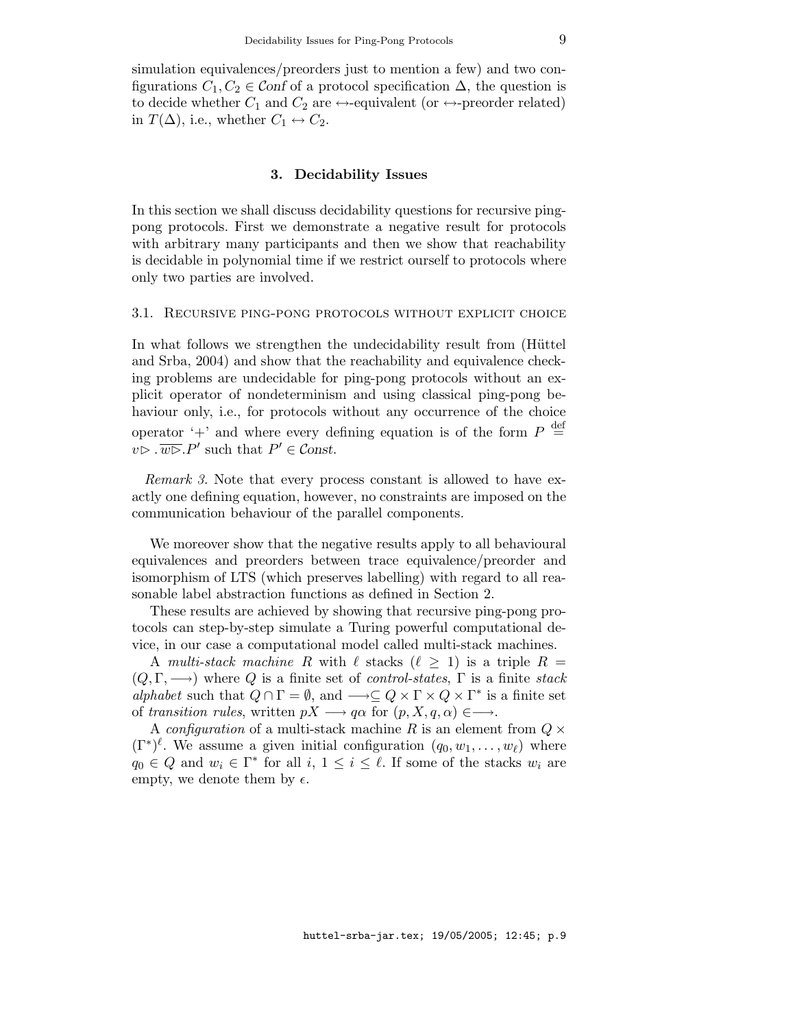simulation equivalences/preorders just to mention a few) and two configurations  $C_1, C_2 \in \mathcal{C}$  on f of a protocol specification  $\Delta$ , the question is to decide whether  $C_1$  and  $C_2$  are  $\leftrightarrow$ -equivalent (or  $\leftrightarrow$ -preorder related) in  $T(\Delta)$ , i.e., whether  $C_1 \leftrightarrow C_2$ .

### 3. Decidability Issues

In this section we shall discuss decidability questions for recursive pingpong protocols. First we demonstrate a negative result for protocols with arbitrary many participants and then we show that reachability is decidable in polynomial time if we restrict ourself to protocols where only two parties are involved.

#### 3.1. Recursive ping-pong protocols without explicit choice

In what follows we strengthen the undecidability result from (Hüttel and Srba, 2004) and show that the reachability and equivalence checking problems are undecidable for ping-pong protocols without an explicit operator of nondeterminism and using classical ping-pong behaviour only, i.e., for protocols without any occurrence of the choice operator '+' and where every defining equation is of the form  $P \stackrel{\text{def}}{=}$  $v \triangleright \overline{w \triangleright} . P'$  such that  $P' \in \mathcal{C}$  onst.

Remark 3. Note that every process constant is allowed to have exactly one defining equation, however, no constraints are imposed on the communication behaviour of the parallel components.

We moreover show that the negative results apply to all behavioural equivalences and preorders between trace equivalence/preorder and isomorphism of LTS (which preserves labelling) with regard to all reasonable label abstraction functions as defined in Section 2.

These results are achieved by showing that recursive ping-pong protocols can step-by-step simulate a Turing powerful computational device, in our case a computational model called multi-stack machines.

A multi-stack machine R with  $\ell$  stacks  $(\ell \geq 1)$  is a triple  $R =$  $(Q, \Gamma, \longrightarrow)$  where Q is a finite set of *control-states*,  $\Gamma$  is a finite stack alphabet such that  $Q \cap \Gamma = \emptyset$ , and  $\longrightarrow \subseteq Q \times \Gamma \times Q \times \Gamma^*$  is a finite set of transition rules, written  $pX \longrightarrow q\alpha$  for  $(p, X, q, \alpha) \in \longrightarrow$ .

A configuration of a multi-stack machine R is an element from  $Q \times$  $(\Gamma^*)^{\ell}$ . We assume a given initial configuration  $(q_0, w_1, \ldots, w_{\ell})$  where  $q_0 \in Q$  and  $w_i \in \Gamma^*$  for all  $i, 1 \leq i \leq \ell$ . If some of the stacks  $w_i$  are empty, we denote them by  $\epsilon$ .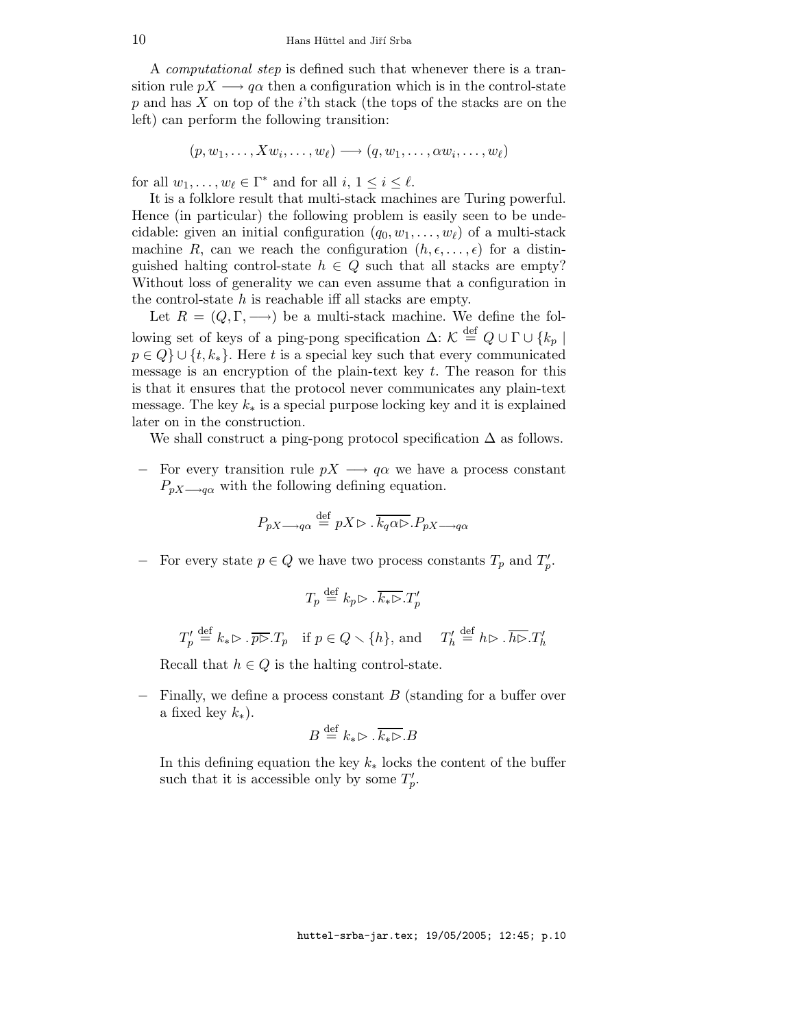A computational step is defined such that whenever there is a transition rule  $pX \longrightarrow q\alpha$  then a configuration which is in the control-state  $p$  and has  $X$  on top of the i'th stack (the tops of the stacks are on the left) can perform the following transition:

$$
(p, w_1, \ldots, Xw_i, \ldots, w_\ell) \longrightarrow (q, w_1, \ldots, \alpha w_i, \ldots, w_\ell)
$$

for all  $w_1, \ldots, w_\ell \in \Gamma^*$  and for all  $i, 1 \leq i \leq \ell$ .

It is a folklore result that multi-stack machines are Turing powerful. Hence (in particular) the following problem is easily seen to be undecidable: given an initial configuration  $(q_0, w_1, \ldots, w_\ell)$  of a multi-stack machine R, can we reach the configuration  $(h, \epsilon, \ldots, \epsilon)$  for a distinguished halting control-state  $h \in Q$  such that all stacks are empty? Without loss of generality we can even assume that a configuration in the control-state  $h$  is reachable iff all stacks are empty.

Let  $R = (Q, \Gamma, \longrightarrow)$  be a multi-stack machine. We define the following set of keys of a ping-pong specification  $\Delta: \mathcal{K} \stackrel{\text{def}}{=} Q \cup \Gamma \cup \{k_p \mid$  $p \in Q$  ∪ { $t, k_*$ }. Here t is a special key such that every communicated message is an encryption of the plain-text key  $t$ . The reason for this is that it ensures that the protocol never communicates any plain-text message. The key  $k_*$  is a special purpose locking key and it is explained later on in the construction.

We shall construct a ping-pong protocol specification  $\Delta$  as follows.

− For every transition rule  $pX \rightarrow q\alpha$  we have a process constant  $P_{pX\rightarrow q\alpha}$  with the following defining equation.

$$
P_{pX \longrightarrow q\alpha} \stackrel{\text{def}}{=} pX \triangleright \overline{k_q \alpha \triangleright} . P_{pX \longrightarrow q\alpha}
$$

− For every state  $p \in Q$  we have two process constants  $T_p$  and  $T'_p$ .

$$
T_p \stackrel{\text{def}}{=} k_p \triangleright \overline{k_* \triangleright} \cdot T'_p
$$

 $T'_p \stackrel{\text{def}}{=} k_* \rhd \overline{p} \rhd T_p$  if  $p \in Q \setminus \{h\}$ , and  $T'_h \stackrel{\text{def}}{=} h \rhd \overline{h} \rhd \overline{R'_h}$ 

Recall that  $h \in Q$  is the halting control-state.

 $-$  Finally, we define a process constant B (standing for a buffer over a fixed key  $k_*$ ).

$$
B \stackrel{\text{def}}{=} k_* \triangleright \cdot \overline{k_* \triangleright} . B
$$

In this defining equation the key  $k_{*}$  locks the content of the buffer such that it is accessible only by some  $T'_p$ .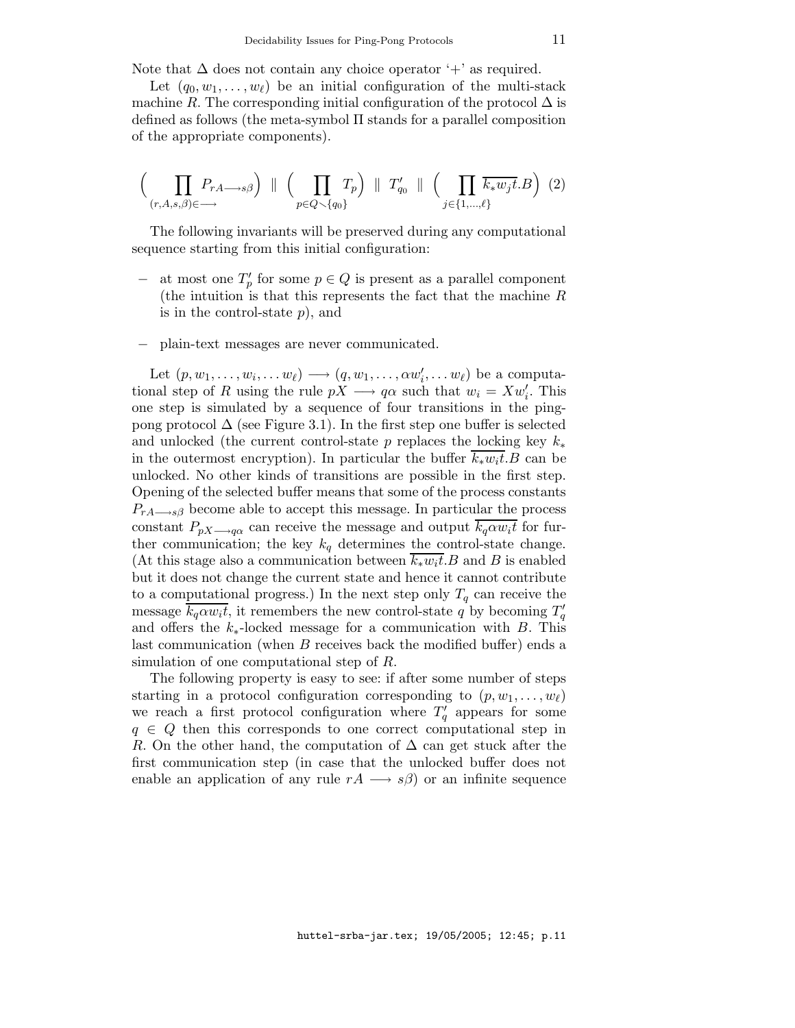Note that  $\Delta$  does not contain any choice operator '+' as required.

Let  $(q_0, w_1, \ldots, w_\ell)$  be an initial configuration of the multi-stack machine R. The corresponding initial configuration of the protocol  $\Delta$  is defined as follows (the meta-symbol Π stands for a parallel composition of the appropriate components).

$$
\left(\prod_{(r,A,s,\beta)\in\longrightarrow}P_{rA\longrightarrow s\beta}\right)\parallel\left(\prod_{p\in Q\smallsetminus\{q_0\}}T_p\right)\parallel T'_{q_0}\parallel\left(\prod_{j\in\{1,\dots,\ell\}}\overline{k_*w_jt}.B\right)(2)
$$

The following invariants will be preserved during any computational sequence starting from this initial configuration:

- − at most one  $T'_p$  for some  $p \in Q$  is present as a parallel component (the intuition is that this represents the fact that the machine R is in the control-state  $p$ , and
- − plain-text messages are never communicated.

Let  $(p, w_1, \ldots, w_i, \ldots w_\ell) \longrightarrow (q, w_1, \ldots, \alpha w_i', \ldots w_\ell)$  be a computational step of R using the rule  $pX \longrightarrow q\alpha$  such that  $w_i = Xw'_i$ . This one step is simulated by a sequence of four transitions in the pingpong protocol  $\Delta$  (see Figure 3.1). In the first step one buffer is selected and unlocked (the current control-state p replaces the locking key  $k_*$ in the outermost encryption). In particular the buffer  $k_*w_it.B$  can be unlocked. No other kinds of transitions are possible in the first step. Opening of the selected buffer means that some of the process constants  $P_{rA\longrightarrow s\beta}$  become able to accept this message. In particular the process constant  $P_{pX\rightarrow q\alpha}$  can receive the message and output  $\overline{k_q \alpha w_i t}$  for further communication; the key  $k_q$  determines the control-state change. (At this stage also a communication between  $k_*w_it.B$  and B is enabled but it does not change the current state and hence it cannot contribute to a computational progress.) In the next step only  $T_q$  can receive the message  $\overline{k_q \alpha w_i t}$ , it remembers the new control-state q by becoming  $T'_q$ and offers the  $k_{*}$ -locked message for a communication with B. This last communication (when B receives back the modified buffer) ends a simulation of one computational step of R.

The following property is easy to see: if after some number of steps starting in a protocol configuration corresponding to  $(p, w_1, \ldots, w_\ell)$ we reach a first protocol configuration where  $T'_q$  appears for some  $q \in Q$  then this corresponds to one correct computational step in R. On the other hand, the computation of  $\Delta$  can get stuck after the first communication step (in case that the unlocked buffer does not enable an application of any rule  $rA \rightarrow s\beta$  or an infinite sequence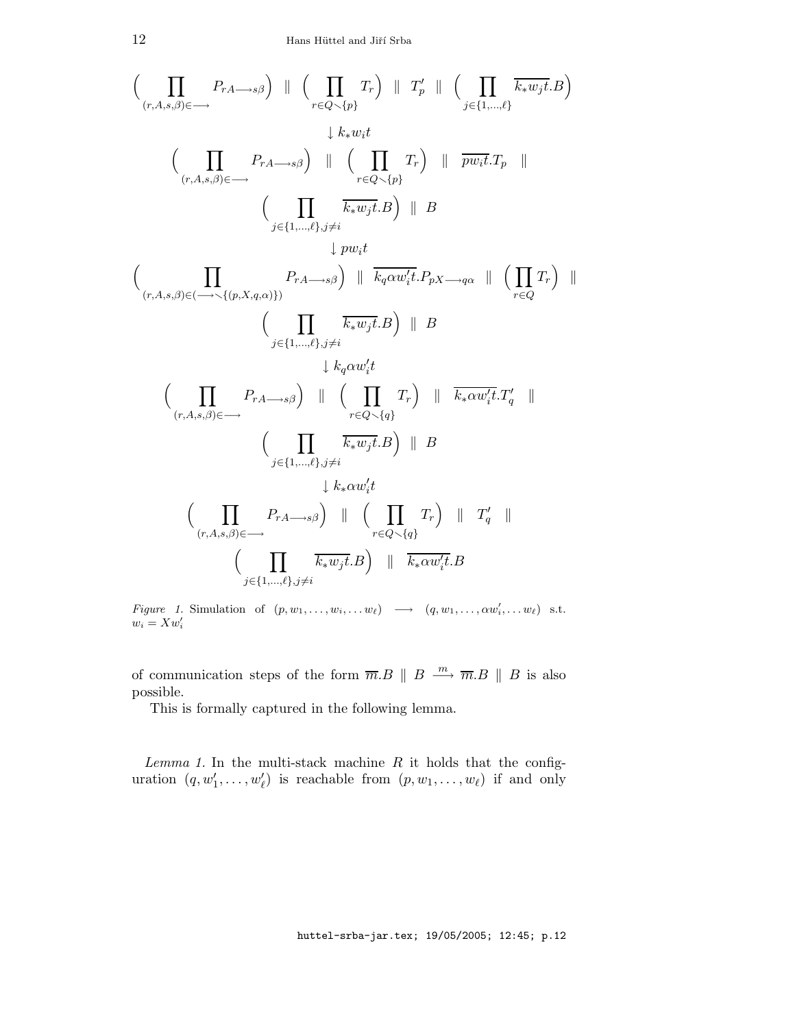$$
\left(\prod_{(r,A,s,\beta)\in\longrightarrow} P_{rA\longrightarrow s\beta}\right) \parallel \left(\prod_{r\in Q\smallsetminus\{p\}} T_r\right) \parallel T'_p \parallel \left(\prod_{j\in\{1,\ldots,\ell\}} \overline{k_*w_jt}.B\right)
$$
\n
$$
\downarrow k_*w_it
$$
\n
$$
\left(\prod_{(r,A,s,\beta)\in\longrightarrow} P_{rA\longrightarrow s\beta}\right) \parallel \left(\prod_{r\in Q\smallsetminus\{p\}} T_r\right) \parallel \overline{pw_it}.T_p \parallel
$$
\n
$$
\left(\prod_{j\in\{1,\ldots,\ell\},j\neq i} \overline{k_*w_jt}.B\right) \parallel B
$$
\n
$$
\left(\prod_{(r,A,s,\beta)\in\longrightarrow\{(p,X,q,\alpha)\}} P_{rA\longrightarrow s\beta}\right) \parallel \overline{k_q\alpha w_i't}.P_pX\longrightarrow q\alpha \parallel \left(\prod_{r\in Q} T_r\right) \parallel
$$
\n
$$
\left(\prod_{j\in\{1,\ldots,\ell\},j\neq i} \overline{k_*w_jt}.B\right) \parallel B
$$
\n
$$
\downarrow k_q\alpha w_i't
$$
\n
$$
\left(\prod_{(r,A,s,\beta)\in\longrightarrow} P_{rA\longrightarrow s\beta}\right) \parallel \left(\prod_{r\in Q\smallsetminus\{q\}} T_r\right) \parallel \overline{k_*\alpha w_i't}.T'_q \parallel
$$
\n
$$
\left(\prod_{j\in\{1,\ldots,\ell\},j\neq i} \overline{k_*w_jt}.B\right) \parallel B
$$
\n
$$
\downarrow k_*\alpha w_i't
$$
\n
$$
\left(\prod_{(r,A,s,\beta)\in\longrightarrow} P_{rA\longrightarrow s\beta}\right) \parallel \left(\prod_{r\in Q\smallsetminus\{q\}} T_r\right) \parallel T'_q \parallel
$$
\n
$$
\left(\prod_{(r,A,s,\beta)\in\longrightarrow} P_{rA\longrightarrow s\beta}\right) \parallel \left(\prod_{r\in Q\smallsetminus\{q\}} T_r\right) \parallel T'_q \parallel
$$
\n
$$
\left(\prod_{j\in\{1,\ldots,\ell\},j\neq i} \overline{k_*w_jt}.B\right) \parallel \overline{k_*\alpha w_i't}.B
$$

Figure 1. Simulation of  $(p, w_1, \ldots, w_i, \ldots w_\ell) \longrightarrow (q, w_1, \ldots, \alpha w_i', \ldots w_\ell)$  s.t.  $w_i = Xw'_i$ 

of communication steps of the form  $\overline{m}.B \parallel B \stackrel{m}{\longrightarrow} \overline{m}.B \parallel B$  is also possible.

This is formally captured in the following lemma.

Lemma 1. In the multi-stack machine  $R$  it holds that the configuration  $(q, w'_1, \ldots, w'_\ell)$  is reachable from  $(p, w_1, \ldots, w_\ell)$  if and only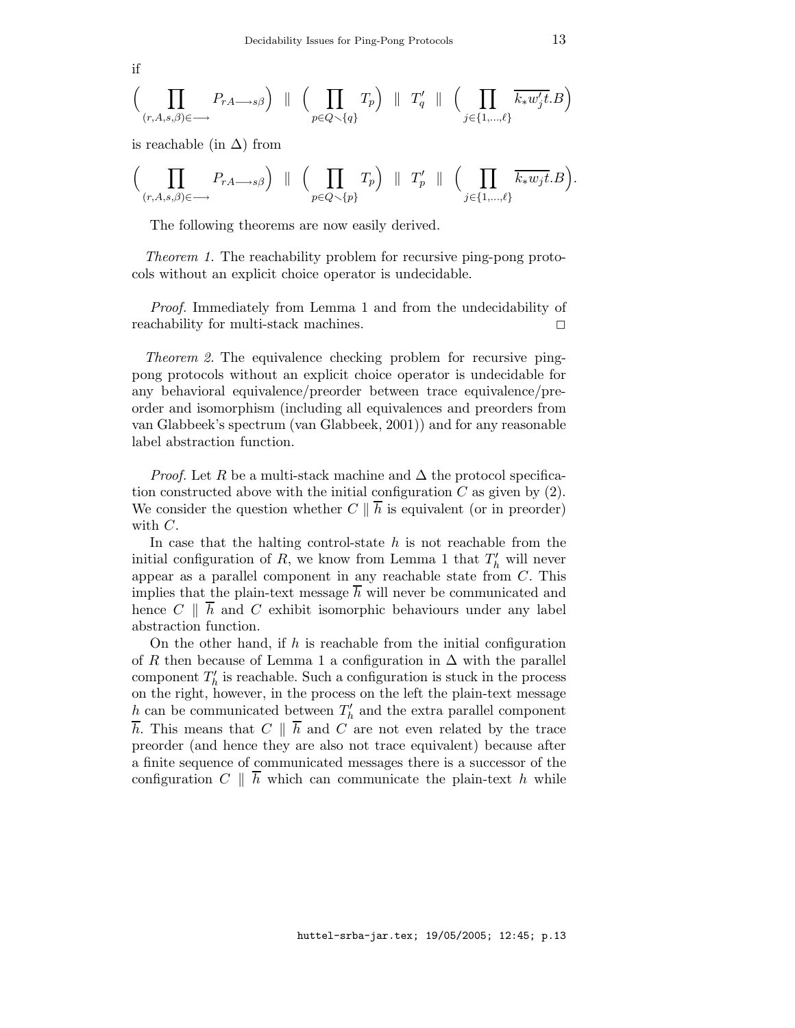if

$$
\Big(\prod_{(r,A,s,\beta)\in\longrightarrow}P_{rA\longrightarrow s\beta}\Big)\parallel\Big(\prod_{p\in Q\smallsetminus\{q\}}T_p\Big)\parallel T'_q\parallel\Big(\prod_{j\in\{1,...,\ell\}}\overline{k_*w'_jt}.B\Big)
$$

is reachable (in  $\Delta$ ) from

$$
\Big(\prod_{(r,A,s,\beta)\in\longrightarrow}P_{rA\longrightarrow s\beta}\Big)\ \parallel\ \Big(\prod_{p\in Q\smallsetminus\{p\}}T_p\Big)\ \parallel\ T'_p\ \parallel\ \Big(\prod_{j\in\{1,\ldots,\ell\}}\overline{k_*w_jt}.B\Big).
$$

The following theorems are now easily derived.

Theorem 1. The reachability problem for recursive ping-pong protocols without an explicit choice operator is undecidable.

Proof. Immediately from Lemma 1 and from the undecidability of reachability for multi-stack machines.  $\square$ 

Theorem 2. The equivalence checking problem for recursive pingpong protocols without an explicit choice operator is undecidable for any behavioral equivalence/preorder between trace equivalence/preorder and isomorphism (including all equivalences and preorders from van Glabbeek's spectrum (van Glabbeek, 2001)) and for any reasonable label abstraction function.

*Proof.* Let R be a multi-stack machine and  $\Delta$  the protocol specification constructed above with the initial configuration  $C$  as given by  $(2)$ . We consider the question whether  $C \parallel \overline{h}$  is equivalent (or in preorder) with C.

In case that the halting control-state  $h$  is not reachable from the initial configuration of  $R$ , we know from Lemma 1 that  $T'_{h}$  will never appear as a parallel component in any reachable state from  $C$ . This implies that the plain-text message  $h$  will never be communicated and hence  $C \parallel \overline{h}$  and  $C$  exhibit isomorphic behaviours under any label abstraction function.

On the other hand, if h is reachable from the initial configuration of R then because of Lemma 1 a configuration in  $\Delta$  with the parallel component  $T'_{h}$  is reachable. Such a configuration is stuck in the process on the right, however, in the process on the left the plain-text message h can be communicated between  $T'_{h}$  and the extra parallel component  $\overline{h}$ . This means that  $C \parallel \overline{h}$  and  $C$  are not even related by the trace preorder (and hence they are also not trace equivalent) because after a finite sequence of communicated messages there is a successor of the configuration  $C \parallel \overline{h}$  which can communicate the plain-text h while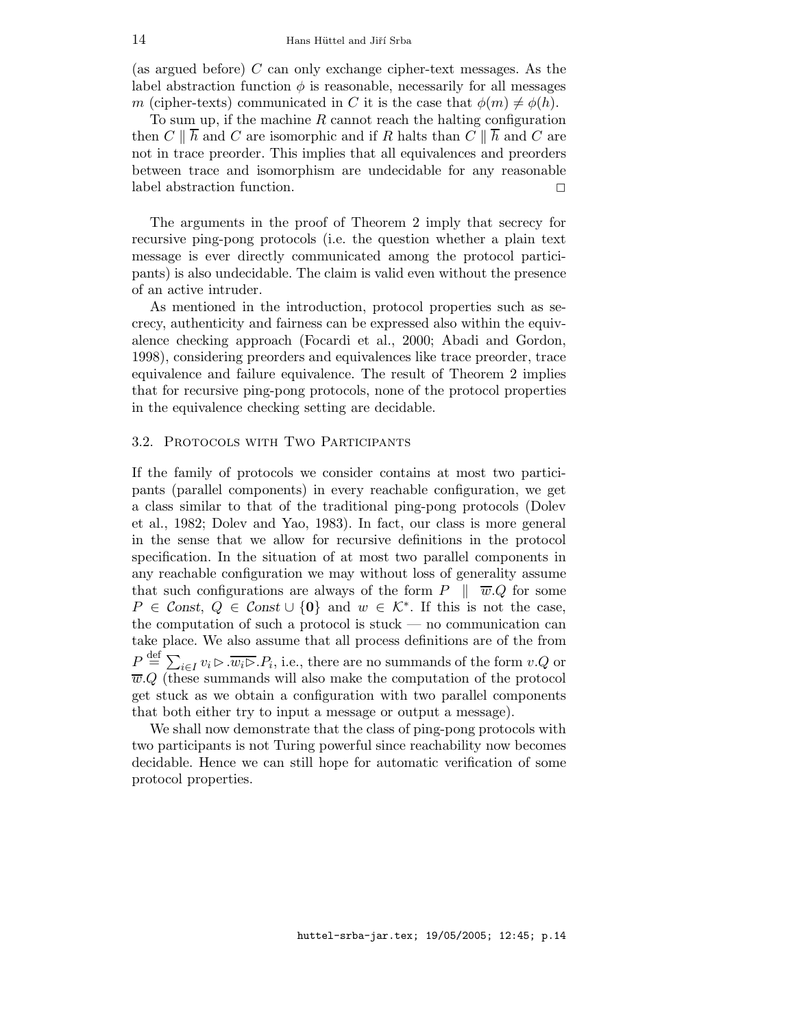(as argued before) C can only exchange cipher-text messages. As the label abstraction function  $\phi$  is reasonable, necessarily for all messages m (cipher-texts) communicated in C it is the case that  $\phi(m) \neq \phi(h)$ .

To sum up, if the machine  $R$  cannot reach the halting configuration then  $C \parallel \overline{h}$  and C are isomorphic and if R halts than  $C \parallel \overline{h}$  and C are not in trace preorder. This implies that all equivalences and preorders between trace and isomorphism are undecidable for any reasonable label abstraction function.

The arguments in the proof of Theorem 2 imply that secrecy for recursive ping-pong protocols (i.e. the question whether a plain text message is ever directly communicated among the protocol participants) is also undecidable. The claim is valid even without the presence of an active intruder.

As mentioned in the introduction, protocol properties such as secrecy, authenticity and fairness can be expressed also within the equivalence checking approach (Focardi et al., 2000; Abadi and Gordon, 1998), considering preorders and equivalences like trace preorder, trace equivalence and failure equivalence. The result of Theorem 2 implies that for recursive ping-pong protocols, none of the protocol properties in the equivalence checking setting are decidable.

## 3.2. Protocols with Two Participants

If the family of protocols we consider contains at most two participants (parallel components) in every reachable configuration, we get a class similar to that of the traditional ping-pong protocols (Dolev et al., 1982; Dolev and Yao, 1983). In fact, our class is more general in the sense that we allow for recursive definitions in the protocol specification. In the situation of at most two parallel components in any reachable configuration we may without loss of generality assume that such configurations are always of the form  $P \parallel \overline{w}.Q$  for some  $P \in \mathcal{C}$ onst,  $Q \in \mathcal{C}$ onst ∪ {0} and  $w \in \mathcal{K}^*$ . If this is not the case, the computation of such a protocol is stuck — no communication can take place. We also assume that all process definitions are of the from  $P \stackrel{\text{def}}{=} \sum_{i \in I} v_i \triangleright \overline{w_i \triangleright} . P_i$ , i.e., there are no summands of the form  $v.Q$  or  $\overline{w}.Q$  (these summands will also make the computation of the protocol get stuck as we obtain a configuration with two parallel components that both either try to input a message or output a message).

We shall now demonstrate that the class of ping-pong protocols with two participants is not Turing powerful since reachability now becomes decidable. Hence we can still hope for automatic verification of some protocol properties.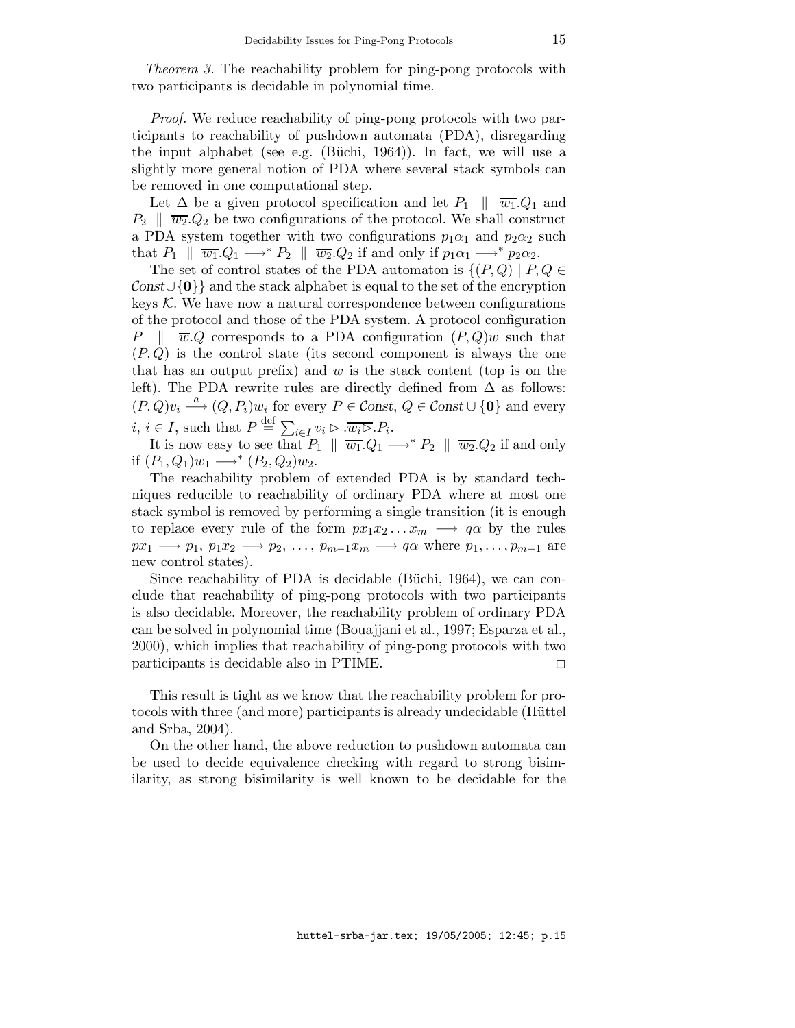Theorem 3. The reachability problem for ping-pong protocols with two participants is decidable in polynomial time.

Proof. We reduce reachability of ping-pong protocols with two participants to reachability of pushdown automata (PDA), disregarding the input alphabet (see e.g. (Büchi, 1964)). In fact, we will use a slightly more general notion of PDA where several stack symbols can be removed in one computational step.

Let  $\Delta$  be a given protocol specification and let  $P_1 \parallel \overline{w_1}.Q_1$  and  $P_2 \parallel \overline{w_2}.Q_2$  be two configurations of the protocol. We shall construct a PDA system together with two configurations  $p_1\alpha_1$  and  $p_2\alpha_2$  such that  $P_1 \parallel \overline{w_1}.Q_1 \longrightarrow^* P_2 \parallel \overline{w_2}.Q_2$  if and only if  $p_1\alpha_1 \longrightarrow^* p_2\alpha_2$ .

The set of control states of the PDA automaton is  $\{(P,Q) \mid P,Q \in$  $\text{Const}\cup\{0\}\}\$ and the stack alphabet is equal to the set of the encryption keys  $K$ . We have now a natural correspondence between configurations of the protocol and those of the PDA system. A protocol configuration P  $\parallel \overline{w}.Q$  corresponds to a PDA configuration  $(P,Q)w$  such that  $(P,Q)$  is the control state (its second component is always the one that has an output prefix) and  $w$  is the stack content (top is on the left). The PDA rewrite rules are directly defined from  $\Delta$  as follows:  $(P,Q)v_i \stackrel{a}{\longrightarrow} (Q,P_i)w_i$  for every  $P \in \mathcal{C}$ onst,  $Q \in \mathcal{C}$ onst $\cup \{0\}$  and every *i*, *i*  $\in I$ , such that  $P \stackrel{\text{def}}{=} \sum_{i \in I} v_i \triangleright \overline{w_i \triangleright} . P_i$ .

It is now easy to see that  $P_1 \parallel \overline{w_1} .Q_1 \longrightarrow^* P_2 \parallel \overline{w_2} .Q_2$  if and only if  $(P_1, Q_1)w_1 \longrightarrow^* (P_2, Q_2)w_2$ .

The reachability problem of extended PDA is by standard techniques reducible to reachability of ordinary PDA where at most one stack symbol is removed by performing a single transition (it is enough to replace every rule of the form  $px_1x_2...x_m \longrightarrow q\alpha$  by the rules  $px_1 \longrightarrow p_1, p_1x_2 \longrightarrow p_2, \ldots, p_{m-1}x_m \longrightarrow q\alpha$  where  $p_1, \ldots, p_{m-1}$  are new control states).

Since reachability of PDA is decidable (Büchi, 1964), we can conclude that reachability of ping-pong protocols with two participants is also decidable. Moreover, the reachability problem of ordinary PDA can be solved in polynomial time (Bouajjani et al., 1997; Esparza et al., 2000), which implies that reachability of ping-pong protocols with two  $participants$  is decidable also in PTIME.

This result is tight as we know that the reachability problem for protocols with three (and more) participants is already undecidable (Hüttel and Srba, 2004).

On the other hand, the above reduction to pushdown automata can be used to decide equivalence checking with regard to strong bisimilarity, as strong bisimilarity is well known to be decidable for the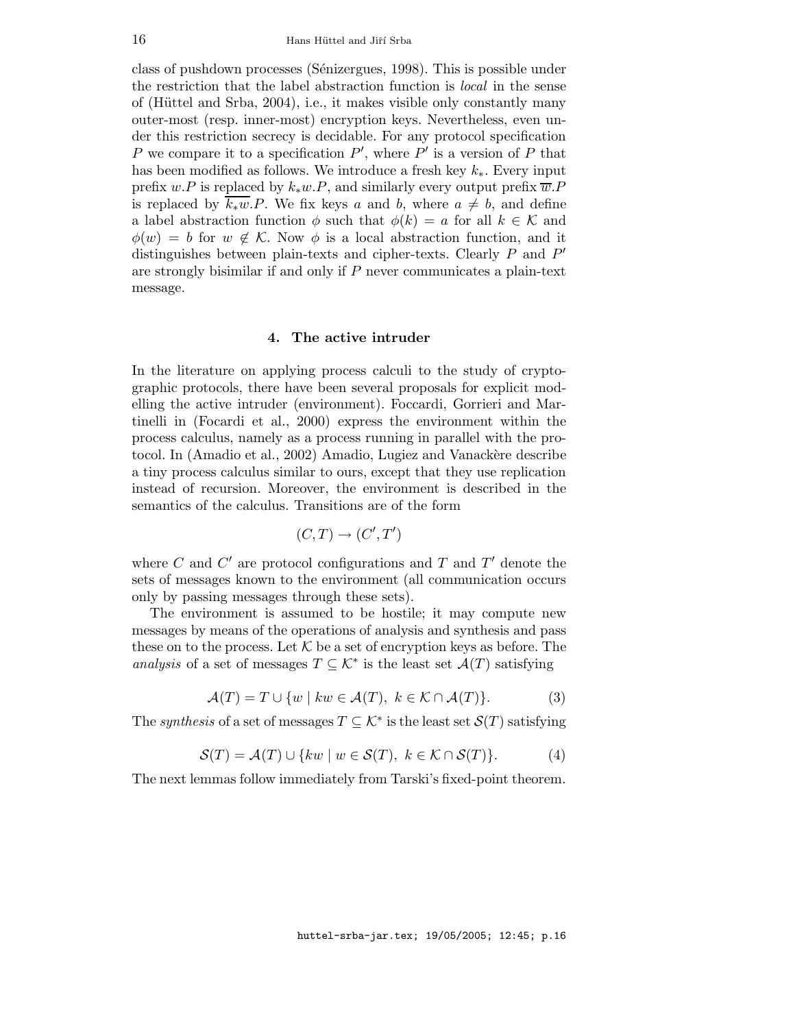class of pushdown processes (Sénizergues, 1998). This is possible under the restriction that the label abstraction function is local in the sense of (Hüttel and Srba, 2004), i.e., it makes visible only constantly many outer-most (resp. inner-most) encryption keys. Nevertheless, even under this restriction secrecy is decidable. For any protocol specification P we compare it to a specification  $P'$ , where  $P'$  is a version of P that has been modified as follows. We introduce a fresh key  $k_*$ . Every input prefix w.P is replaced by  $k_*w.P$ , and similarly every output prefix  $\overline{w}.P$ is replaced by  $\overline{k_*w}.P$ . We fix keys a and b, where  $a \neq b$ , and define a label abstraction function  $\phi$  such that  $\phi(k) = a$  for all  $k \in \mathcal{K}$  and  $\phi(w) = b$  for  $w \notin \mathcal{K}$ . Now  $\phi$  is a local abstraction function, and it distinguishes between plain-texts and cipher-texts. Clearly  $P$  and  $P'$ are strongly bisimilar if and only if  $P$  never communicates a plain-text message.

### 4. The active intruder

In the literature on applying process calculi to the study of cryptographic protocols, there have been several proposals for explicit modelling the active intruder (environment). Foccardi, Gorrieri and Martinelli in (Focardi et al., 2000) express the environment within the process calculus, namely as a process running in parallel with the protocol. In (Amadio et al., 2002) Amadio, Lugiez and Vanackère describe a tiny process calculus similar to ours, except that they use replication instead of recursion. Moreover, the environment is described in the semantics of the calculus. Transitions are of the form

$$
(C,T) \to (C',T')
$$

where  $C$  and  $C'$  are protocol configurations and  $T$  and  $T'$  denote the sets of messages known to the environment (all communication occurs only by passing messages through these sets).

The environment is assumed to be hostile; it may compute new messages by means of the operations of analysis and synthesis and pass these on to the process. Let K be a set of encryption keys as before. The analysis of a set of messages  $T \subseteq \mathcal{K}^*$  is the least set  $\mathcal{A}(T)$  satisfying

$$
\mathcal{A}(T) = T \cup \{ w \mid kw \in \mathcal{A}(T), \ k \in \mathcal{K} \cap \mathcal{A}(T) \}. \tag{3}
$$

The synthesis of a set of messages  $T \subseteq \mathcal{K}^*$  is the least set  $\mathcal{S}(T)$  satisfying

$$
\mathcal{S}(T) = \mathcal{A}(T) \cup \{kw \mid w \in \mathcal{S}(T), \ k \in \mathcal{K} \cap \mathcal{S}(T)\}.
$$
 (4)

The next lemmas follow immediately from Tarski's fixed-point theorem.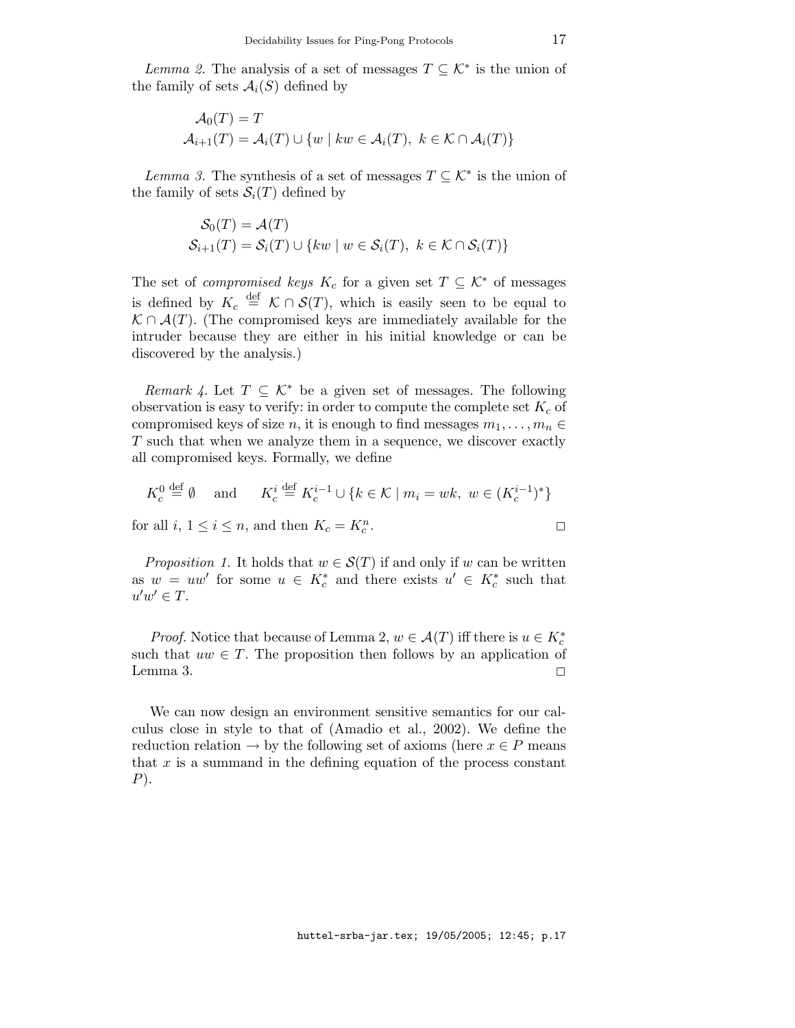*Lemma 2.* The analysis of a set of messages  $T \subseteq \mathcal{K}^*$  is the union of the family of sets  $\mathcal{A}_i(S)$  defined by

$$
\mathcal{A}_0(T) = T
$$
  

$$
\mathcal{A}_{i+1}(T) = \mathcal{A}_i(T) \cup \{w \mid kw \in \mathcal{A}_i(T), \ k \in \mathcal{K} \cap \mathcal{A}_i(T)\}\
$$

Lemma 3. The synthesis of a set of messages  $T \subseteq \mathcal{K}^*$  is the union of the family of sets  $S_i(T)$  defined by

$$
\mathcal{S}_0(T) = \mathcal{A}(T)
$$
  

$$
\mathcal{S}_{i+1}(T) = \mathcal{S}_i(T) \cup \{kw \mid w \in \mathcal{S}_i(T), \ k \in \mathcal{K} \cap \mathcal{S}_i(T)\}\
$$

The set of *compromised keys*  $K_c$  for a given set  $T \subseteq \mathcal{K}^*$  of messages is defined by  $K_c \stackrel{\text{def}}{=} \mathcal{K} \cap \mathcal{S}(T)$ , which is easily seen to be equal to  $\mathcal{K} \cap \mathcal{A}(T)$ . (The compromised keys are immediately available for the intruder because they are either in his initial knowledge or can be discovered by the analysis.)

Remark 4. Let  $T \subseteq \mathcal{K}^*$  be a given set of messages. The following observation is easy to verify: in order to compute the complete set  $K_c$  of compromised keys of size n, it is enough to find messages  $m_1, \ldots, m_n \in$ T such that when we analyze them in a sequence, we discover exactly all compromised keys. Formally, we define

$$
K_c^0 \stackrel{\text{def}}{=} \emptyset \quad \text{and} \quad K_c^i \stackrel{\text{def}}{=} K_c^{i-1} \cup \{ k \in \mathcal{K} \mid m_i = wk, \ w \in (K_c^{i-1})^* \}
$$

for all  $i, 1 \leq i \leq n$ , and then  $K_c = K_c^n$ . 2

*Proposition 1.* It holds that  $w \in S(T)$  if and only if w can be written as  $w = uw'$  for some  $u \in K_c^*$  and there exists  $u' \in K_c^*$  such that  $u'w' \in T$ .

*Proof.* Notice that because of Lemma 2,  $w \in \mathcal{A}(T)$  iff there is  $u \in K_c^*$ such that  $uw \in T$ . The proposition then follows by an application of Lemma 3.  $\Box$ 

We can now design an environment sensitive semantics for our calculus close in style to that of (Amadio et al., 2002). We define the reduction relation  $\rightarrow$  by the following set of axioms (here  $x \in P$  means that  $x$  is a summand in the defining equation of the process constant  $P$ ).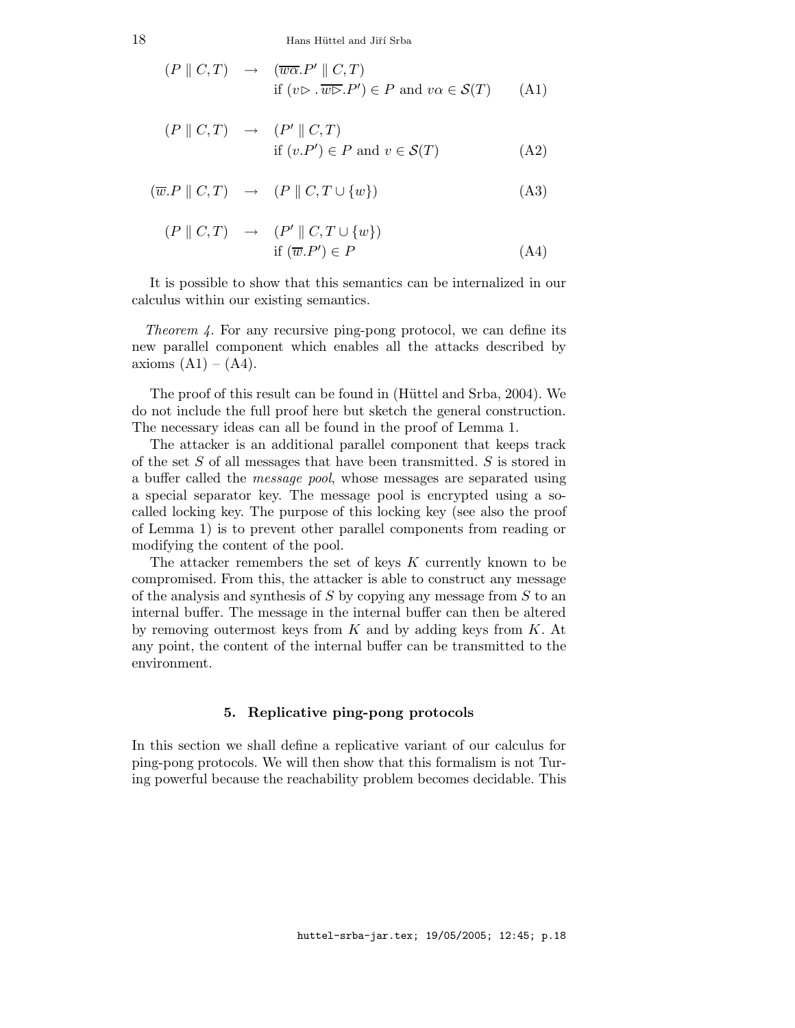18 Hans Hüttel and Jiří Srba

$$
(P \parallel C, T) \rightarrow (\overline{w\alpha}. P' \parallel C, T)
$$
  
if  $(v \rhd \overline{w\rhd}. P') \in P$  and  $v\alpha \in \mathcal{S}(T)$  (A1)

$$
(P \parallel C, T) \rightarrow (P' \parallel C, T)
$$
  
if  $(v.P') \in P$  and  $v \in S(T)$  (A2)

$$
(\overline{w}.P \parallel C, T) \rightarrow (P \parallel C, T \cup \{w\})
$$
 (A3)

$$
(P \parallel C, T) \rightarrow (P' \parallel C, T \cup \{w\})
$$
  
if  $(\overline{w}.P') \in P$  (A4)

It is possible to show that this semantics can be internalized in our calculus within our existing semantics.

Theorem 4. For any recursive ping-pong protocol, we can define its new parallel component which enables all the attacks described by axioms  $(A1) - (A4)$ .

The proof of this result can be found in (Hüttel and Srba, 2004). We do not include the full proof here but sketch the general construction. The necessary ideas can all be found in the proof of Lemma 1.

The attacker is an additional parallel component that keeps track of the set S of all messages that have been transmitted. S is stored in a buffer called the *message pool*, whose messages are separated using a special separator key. The message pool is encrypted using a socalled locking key. The purpose of this locking key (see also the proof of Lemma 1) is to prevent other parallel components from reading or modifying the content of the pool.

The attacker remembers the set of keys  $K$  currently known to be compromised. From this, the attacker is able to construct any message of the analysis and synthesis of S by copying any message from S to an internal buffer. The message in the internal buffer can then be altered by removing outermost keys from  $K$  and by adding keys from  $K$ . At any point, the content of the internal buffer can be transmitted to the environment.

## 5. Replicative ping-pong protocols

In this section we shall define a replicative variant of our calculus for ping-pong protocols. We will then show that this formalism is not Turing powerful because the reachability problem becomes decidable. This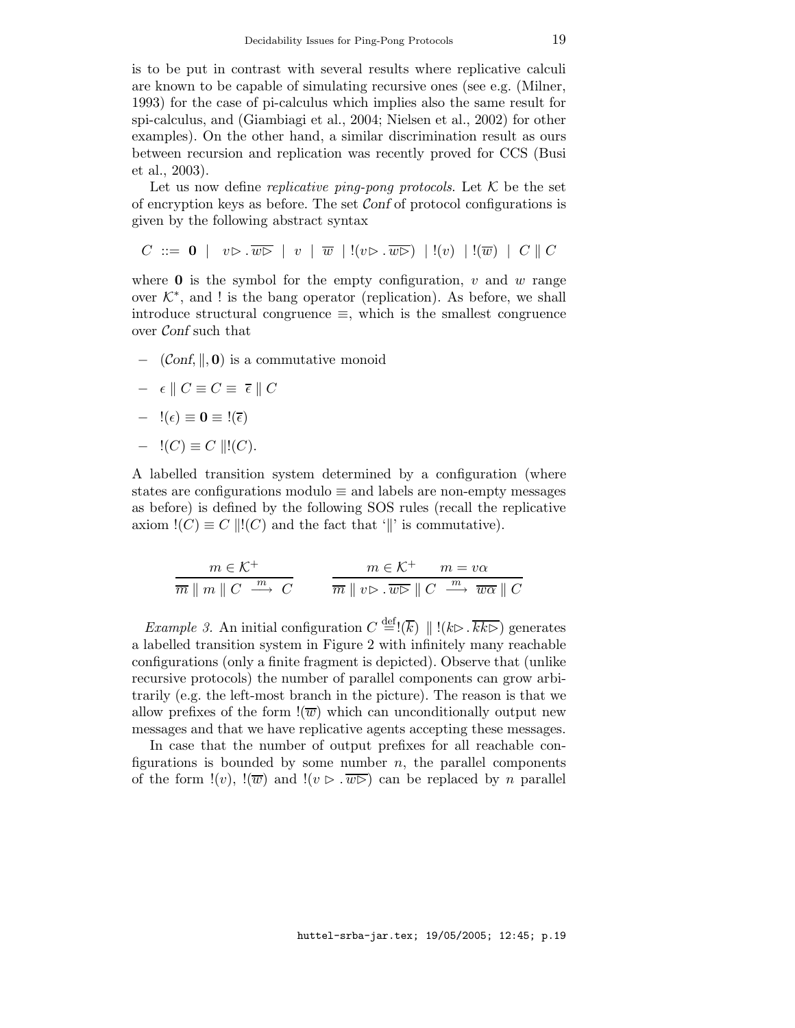is to be put in contrast with several results where replicative calculi are known to be capable of simulating recursive ones (see e.g. (Milner, 1993) for the case of pi-calculus which implies also the same result for spi-calculus, and (Giambiagi et al., 2004; Nielsen et al., 2002) for other examples). On the other hand, a similar discrimination result as ours between recursion and replication was recently proved for CCS (Busi et al., 2003).

Let us now define *replicative ping-pong protocols*. Let  $K$  be the set of encryption keys as before. The set Conf of protocol configurations is given by the following abstract syntax

 $C \ ::= \ \mathbf{0} \mid v \triangleright \overline{w} \triangleright \mid v \mid \overline{w} \mid !(v \triangleright \overline{w} \triangleright) \mid !(v) \mid !(\overline{w}) \mid C \parallel C$ 

where  $\bf{0}$  is the symbol for the empty configuration, v and w range over  $K^*$ , and ! is the bang operator (replication). As before, we shall introduce structural congruence  $\equiv$ , which is the smallest congruence over Conf such that

 $\text{–}$  (Conf,  $\parallel$ , 0) is a commutative monoid

$$
- \epsilon \parallel C \equiv C \equiv \overline{\epsilon} \parallel C
$$

$$
- \ \mathord!(\epsilon) \equiv \mathbf{0} \equiv \mathord!(\overline{\epsilon})
$$

$$
- \ \mathord!(C) \equiv C \ \lVert \mathord!(C).
$$

A labelled transition system determined by a configuration (where states are configurations modulo  $\equiv$  and labels are non-empty messages as before) is defined by the following SOS rules (recall the replicative axiom  $!(C) \equiv C \, ||!(C)$  and the fact that '||' is commutative).

$$
\frac{m \in \mathcal{K}^+}{\overline{m} \parallel m \parallel C \stackrel{m}{\longrightarrow} C} \qquad \frac{m \in \mathcal{K}^+}{\overline{m} \parallel v \rhd \cdot \overline{w \rhd} \parallel C \stackrel{m}{\longrightarrow} \overline{w \alpha} \parallel C}
$$

*Example 3.* An initial configuration  $C \stackrel{\text{def}}{=} !(\overline{k}) || | (k \triangleright \overline{k k \triangleright})$  generates a labelled transition system in Figure 2 with infinitely many reachable configurations (only a finite fragment is depicted). Observe that (unlike recursive protocols) the number of parallel components can grow arbitrarily (e.g. the left-most branch in the picture). The reason is that we allow prefixes of the form  $\overline{\mathfrak{w}}$  which can unconditionally output new messages and that we have replicative agents accepting these messages.

In case that the number of output prefixes for all reachable configurations is bounded by some number  $n$ , the parallel components of the form  $!(v)$ ,  $!(\overline{w})$  and  $!(v \triangleright \overline{w} \triangleright)$  can be replaced by *n* parallel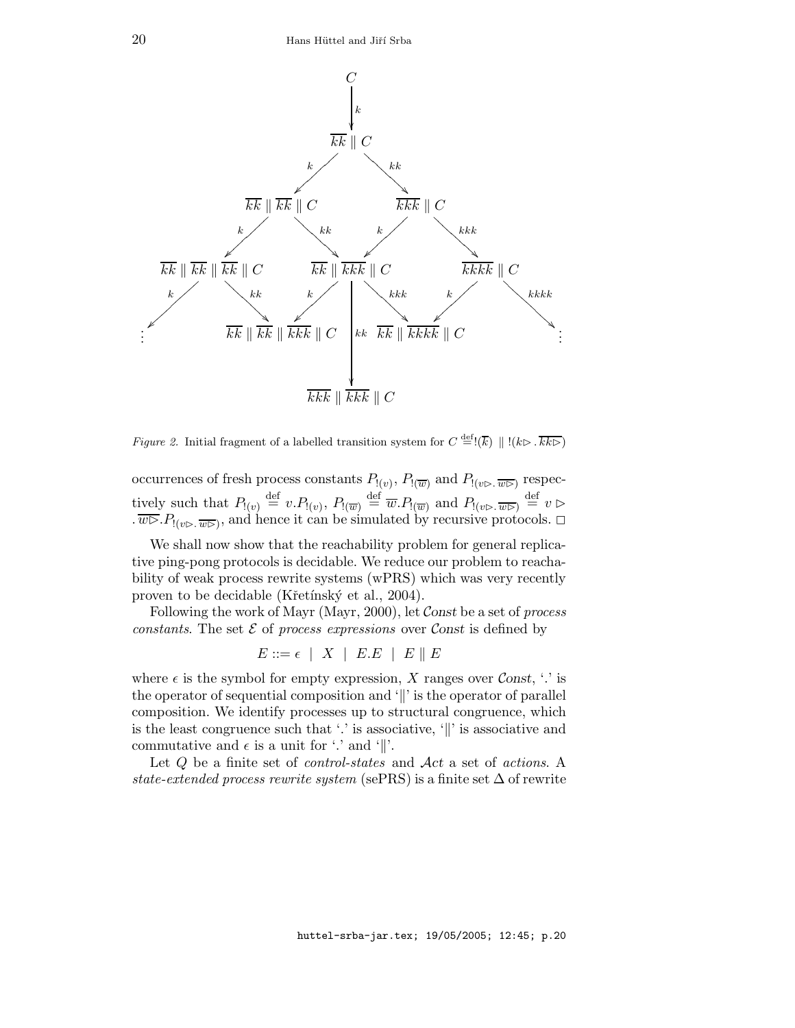

*Figure 2.* Initial fragment of a labelled transition system for  $C \stackrel{\text{def}}{=} (\overline{k}) || | (k \triangleright \overline{k k \triangleright})$ 

occurrences of fresh process constants  $P_{(v)}$ ,  $P_{(\overline{w})}$  and  $P_{(v \triangleright \ldots \widehat{w \triangleright})}$  respectively such that  $P_{(v)} \stackrel{\text{def}}{=} v.P_{(v)}, P_{(\overline{w})} \stackrel{\text{def}}{=} \overline{w}.P_{(\overline{w})}$  and  $P_{(v \triangleright \ldots \widehat{w \triangleright})} \stackrel{\text{def}}{=} v \triangleright$  $\overline{w} \rightarrow B_{(\nu \rhd \ldots \overline{w} \rhd)}$ , and hence it can be simulated by recursive protocols.  $\Box$ 

We shall now show that the reachability problem for general replicative ping-pong protocols is decidable. We reduce our problem to reachability of weak process rewrite systems (wPRS) which was very recently proven to be decidable (Křetínský et al., 2004).

Following the work of Mayr (Mayr, 2000), let Const be a set of process constants. The set  $\mathcal E$  of process expressions over Const is defined by

 $E ::= \epsilon \mid X \mid E.E \mid E \parallel E$ 

where  $\epsilon$  is the symbol for empty expression, X ranges over Const, '.' is the operator of sequential composition and  $\Vert$  is the operator of parallel composition. We identify processes up to structural congruence, which is the least congruence such that  $\cdot$  is associative,  $\cdot$  is associative and commutative and  $\epsilon$  is a unit for '.' and '||'.

Let Q be a finite set of *control-states* and  $Act$  a set of *actions*. A state-extended process rewrite system (sePRS) is a finite set  $\Delta$  of rewrite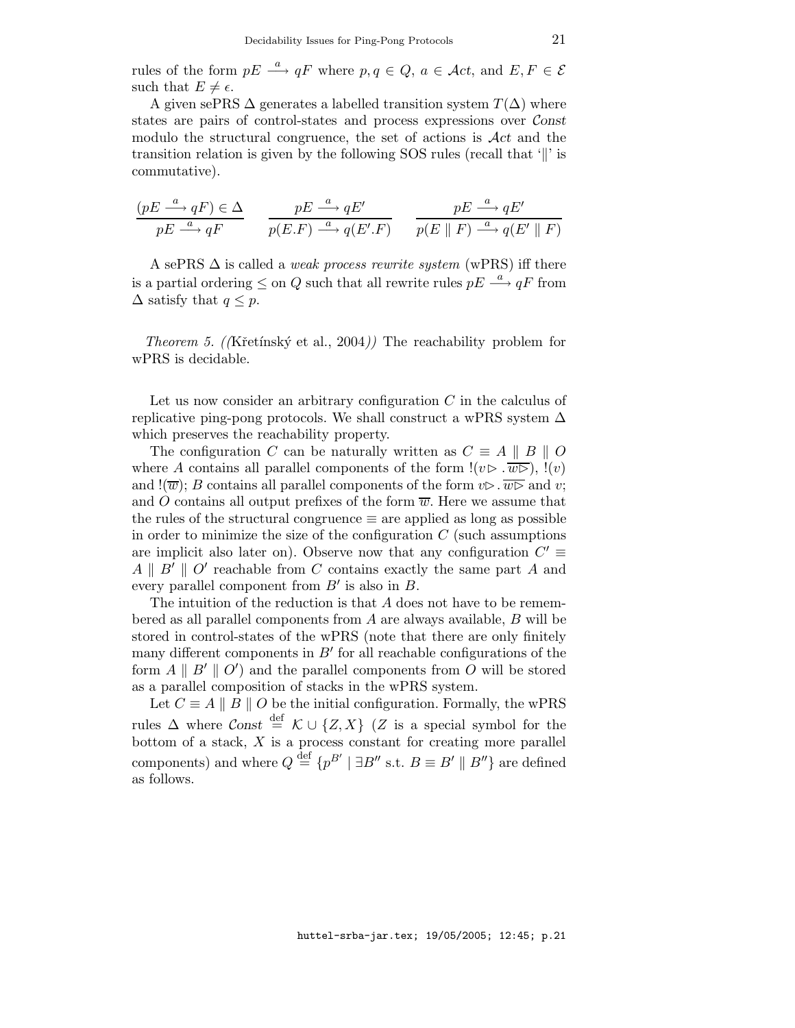rules of the form  $pE \stackrel{a}{\longrightarrow} qF$  where  $p, q \in Q, a \in \mathcal{A}ct$ , and  $E, F \in \mathcal{E}$ such that  $E \neq \epsilon$ .

A given sePRS  $\Delta$  generates a labelled transition system  $T(\Delta)$  where states are pairs of control-states and process expressions over Const modulo the structural congruence, the set of actions is  $\mathcal{A}ct$  and the transition relation is given by the following  $SOS$  rules (recall that '||' is commutative).

$$
\frac{(pE \xrightarrow{a} qF) \in \Delta}{pE \xrightarrow{a} qF} \qquad \frac{pE \xrightarrow{a} qE'}{p(E.F) \xrightarrow{a} q(E'.F)} \qquad \frac{pE \xrightarrow{a} qE'}{p(E \parallel F) \xrightarrow{a} q(E' \parallel F)}
$$

A sePRS  $\Delta$  is called a *weak process rewrite system* (wPRS) iff there is a partial ordering  $\leq$  on Q such that all rewrite rules  $pE \stackrel{a}{\longrightarrow} qF$  from  $\Delta$  satisfy that  $q \leq p$ .

*Theorem 5.* (*K*retínský et al., 2004)) The reachability problem for wPRS is decidable.

Let us now consider an arbitrary configuration  $C$  in the calculus of replicative ping-pong protocols. We shall construct a wPRS system  $\Delta$ which preserves the reachability property.

The configuration C can be naturally written as  $C \equiv A \parallel B \parallel O$ where A contains all parallel components of the form  $!(v \triangleright \overline{w \triangleright})$ ,  $!(v)$ and  $!(\overline{w}); B$  contains all parallel components of the form  $v \triangleright \overline{w \triangleright}$  and v; and O contains all output prefixes of the form  $\overline{w}$ . Here we assume that the rules of the structural congruence  $\equiv$  are applied as long as possible in order to minimize the size of the configuration  $C$  (such assumptions are implicit also later on). Observe now that any configuration  $C' \equiv$  $A \parallel B' \parallel O'$  reachable from C contains exactly the same part A and every parallel component from  $B'$  is also in  $B$ .

The intuition of the reduction is that A does not have to be remembered as all parallel components from  $A$  are always available,  $B$  will be stored in control-states of the wPRS (note that there are only finitely many different components in  $B'$  for all reachable configurations of the form  $A \parallel B' \parallel O'$  and the parallel components from O will be stored as a parallel composition of stacks in the wPRS system.

Let  $C \equiv A \parallel B \parallel O$  be the initial configuration. Formally, the wPRS rules  $\Delta$  where  $\mathcal{C}$  onst  $\stackrel{\text{def}}{=} \mathcal{K} \cup \{Z, X\}$  (Z is a special symbol for the bottom of a stack,  $X$  is a process constant for creating more parallel components) and where  $Q \stackrel{\text{def}}{=} \{p^{B'} \mid \exists B'' \text{ s.t. } B \equiv B' \parallel B''\}$  are defined as follows.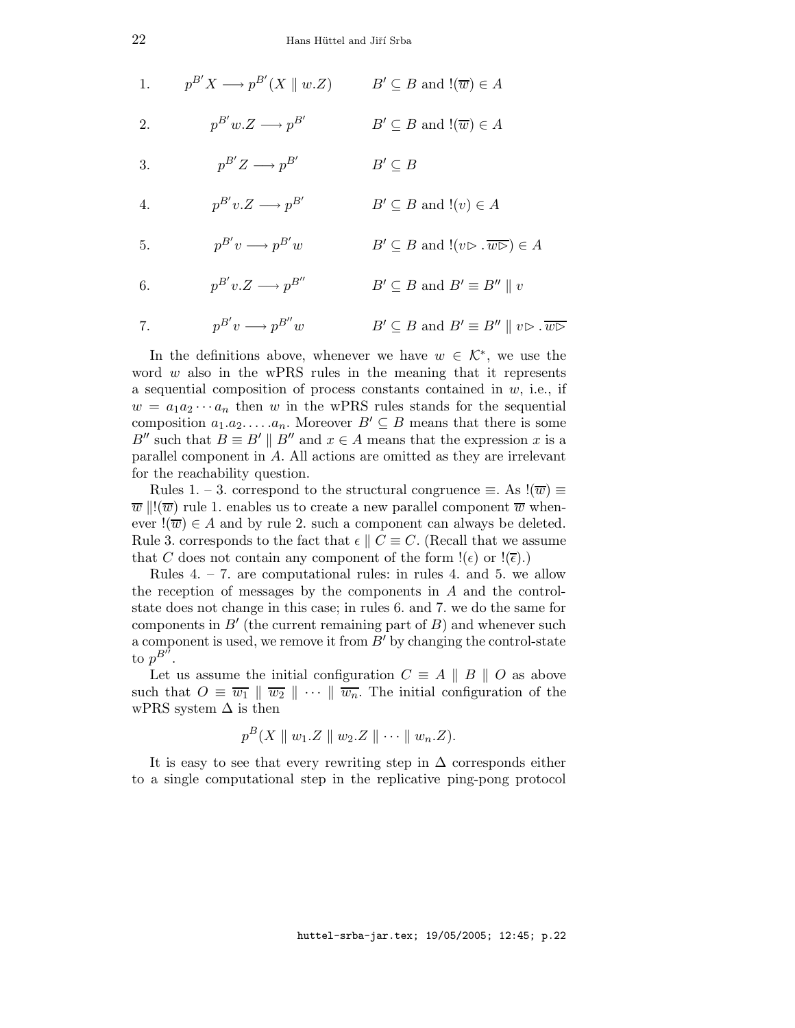| 1. | $p^{B'}X \longrightarrow p^{B'}(X \parallel w.Z)$ $B' \subseteq B$ and $!(\overline{w}) \in A$ |                                                                                             |
|----|------------------------------------------------------------------------------------------------|---------------------------------------------------------------------------------------------|
| 2. | $p^{B'}w.Z \longrightarrow p^{B'}$                                                             | $B' \subseteq B$ and $!(\overline{w}) \in A$                                                |
| 3. | $p^{B'}Z \longrightarrow p^{B'}$                                                               | $B' \subseteq B$                                                                            |
| 4. | $p^{B'}v.Z \longrightarrow p^{B'}$                                                             | $B' \subseteq B$ and $!(v) \in A$                                                           |
| 5. | $p^{B'}v \longrightarrow p^{B'}w$                                                              | $B' \subseteq B$ and $!(v \triangleright \overline{w \triangleright}) \in A$                |
| 6. | $p^{B'}v.Z \longrightarrow p^{B''}$                                                            | $B' \subseteq B$ and $B' \equiv B'' \parallel v$                                            |
| 7. | $p^{B'}v \longrightarrow p^{B''}w$                                                             | $B' \subseteq B$ and $B' \equiv B'' \parallel v \triangleright \overline{w \triangleright}$ |

In the definitions above, whenever we have  $w \in \mathcal{K}^*$ , we use the word  $w$  also in the wPRS rules in the meaning that it represents a sequential composition of process constants contained in  $w$ , i.e., if  $w = a_1 a_2 \cdots a_n$  then w in the wPRS rules stands for the sequential composition  $a_1.a_2.\ldots.a_n$ . Moreover  $B' \subseteq B$  means that there is some B'' such that  $B \equiv B' \parallel B''$  and  $x \in A$  means that the expression x is a parallel component in A. All actions are omitted as they are irrelevant for the reachability question.

Rules 1. – 3. correspond to the structural congruence  $\equiv$ . As  $!(\overline{w}) \equiv$  $\overline{w} \parallel !(\overline{w})$  rule 1. enables us to create a new parallel component  $\overline{w}$  whenever  $\exists(\overline{w}) \in A$  and by rule 2. such a component can always be deleted. Rule 3. corresponds to the fact that  $\epsilon \parallel C \equiv C$ . (Recall that we assume that C does not contain any component of the form  $!(\epsilon)$  or  $!(\overline{\epsilon})$ .

Rules  $4. - 7$ . are computational rules: in rules  $4.$  and  $5.$  we allow the reception of messages by the components in A and the controlstate does not change in this case; in rules 6. and 7. we do the same for components in  $B'$  (the current remaining part of  $B$ ) and whenever such a component is used, we remove it from  $B'$  by changing the control-state to  $p^{B^{\prime \prime}}.$ 

Let us assume the initial configuration  $C \equiv A \parallel B \parallel O$  as above such that  $O \equiv \overline{w_1} \parallel \overline{w_2} \parallel \cdots \parallel \overline{w_n}$ . The initial configuration of the wPRS system  $\Delta$  is then

$$
p^B(X \parallel w_1.Z \parallel w_2.Z \parallel \cdots \parallel w_n.Z).
$$

It is easy to see that every rewriting step in  $\Delta$  corresponds either to a single computational step in the replicative ping-pong protocol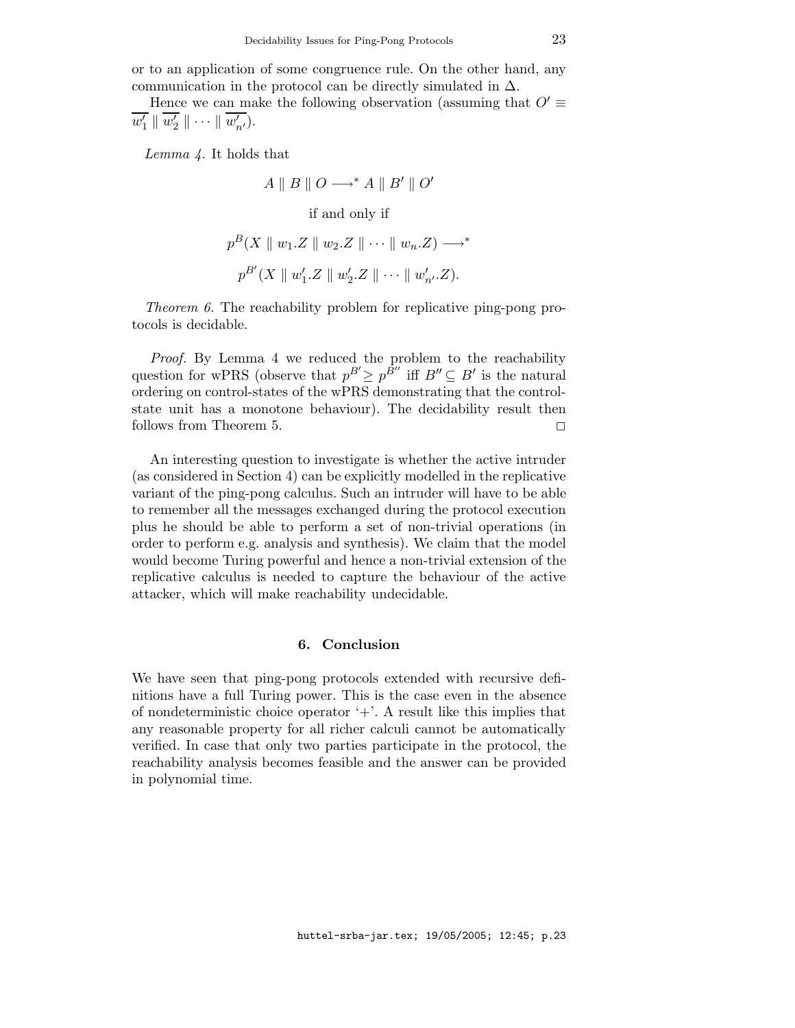or to an application of some congruence rule. On the other hand, any communication in the protocol can be directly simulated in  $\Delta$ .

Hence we can make the following observation (assuming that  $O' \equiv$  $\overline{w'_1} \parallel \overline{w'_2} \parallel \cdots \parallel \overline{w'_{n'}}).$ 

Lemma 4. It holds that

 $A \parallel B \parallel O \longrightarrow^* A \parallel B' \parallel O'$ if and only if  $p^B(X \parallel w_1.Z \parallel w_2.Z \parallel \cdots \parallel w_n.Z) \longrightarrow^*$  $p^{B'}(X \parallel w'_1.Z \parallel w'_2.Z \parallel \cdots \parallel w'_{n'}. Z).$ 

Theorem 6. The reachability problem for replicative ping-pong protocols is decidable.

Proof. By Lemma 4 we reduced the problem to the reachability question for wPRS (observe that  $p^{B'} \geq p^{\tilde{B}''}$  iff  $B'' \subseteq B'$  is the natural ordering on control-states of the wPRS demonstrating that the controlstate unit has a monotone behaviour). The decidability result then follows from Theorem 5.  $\Box$ 

An interesting question to investigate is whether the active intruder (as considered in Section 4) can be explicitly modelled in the replicative variant of the ping-pong calculus. Such an intruder will have to be able to remember all the messages exchanged during the protocol execution plus he should be able to perform a set of non-trivial operations (in order to perform e.g. analysis and synthesis). We claim that the model would become Turing powerful and hence a non-trivial extension of the replicative calculus is needed to capture the behaviour of the active attacker, which will make reachability undecidable.

## 6. Conclusion

We have seen that ping-pong protocols extended with recursive definitions have a full Turing power. This is the case even in the absence of nondeterministic choice operator  $+$ . A result like this implies that any reasonable property for all richer calculi cannot be automatically verified. In case that only two parties participate in the protocol, the reachability analysis becomes feasible and the answer can be provided in polynomial time.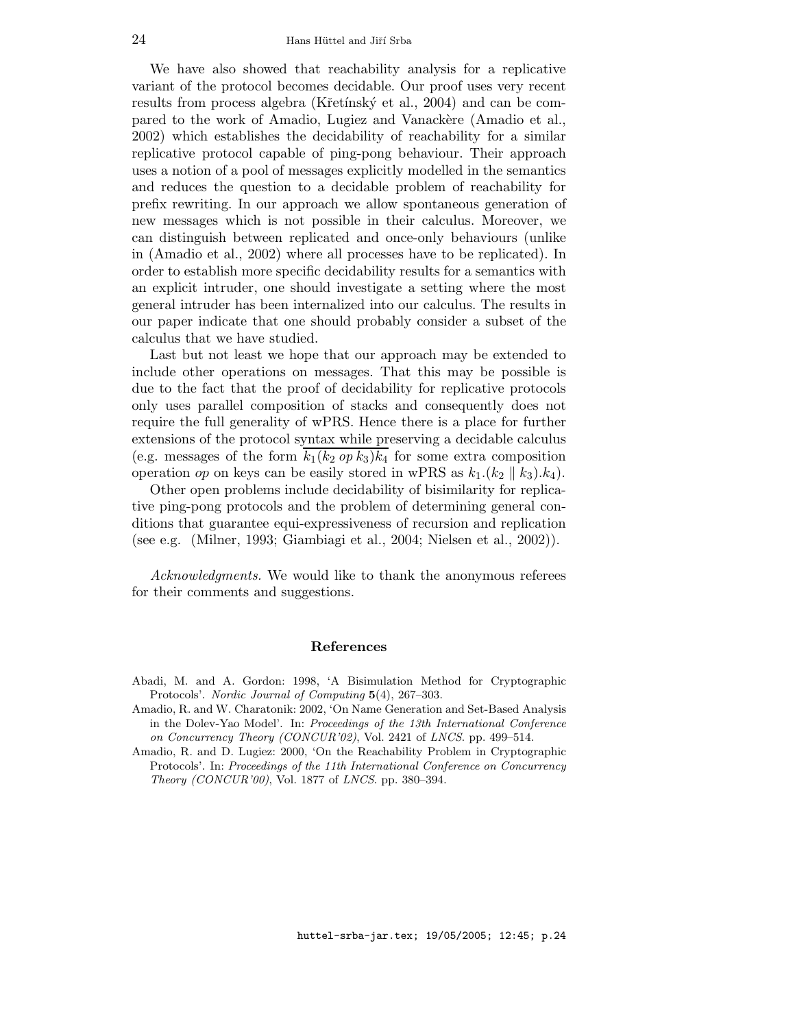We have also showed that reachability analysis for a replicative variant of the protocol becomes decidable. Our proof uses very recent results from process algebra (Křetínský et al., 2004) and can be compared to the work of Amadio, Lugiez and Vanackere (Amadio et al., 2002) which establishes the decidability of reachability for a similar replicative protocol capable of ping-pong behaviour. Their approach uses a notion of a pool of messages explicitly modelled in the semantics and reduces the question to a decidable problem of reachability for prefix rewriting. In our approach we allow spontaneous generation of new messages which is not possible in their calculus. Moreover, we can distinguish between replicated and once-only behaviours (unlike in (Amadio et al., 2002) where all processes have to be replicated). In order to establish more specific decidability results for a semantics with an explicit intruder, one should investigate a setting where the most general intruder has been internalized into our calculus. The results in our paper indicate that one should probably consider a subset of the calculus that we have studied.

Last but not least we hope that our approach may be extended to include other operations on messages. That this may be possible is due to the fact that the proof of decidability for replicative protocols only uses parallel composition of stacks and consequently does not require the full generality of wPRS. Hence there is a place for further extensions of the protocol syntax while preserving a decidable calculus (e.g. messages of the form  $k_1(k_2 op k_3)k_4$  for some extra composition operation op on keys can be easily stored in wPRS as  $k_1(k_2 \parallel k_3)$ . $k_4$ .

Other open problems include decidability of bisimilarity for replicative ping-pong protocols and the problem of determining general conditions that guarantee equi-expressiveness of recursion and replication (see e.g. (Milner, 1993; Giambiagi et al., 2004; Nielsen et al., 2002)).

Acknowledgments. We would like to thank the anonymous referees for their comments and suggestions.

#### References

- Abadi, M. and A. Gordon: 1998, 'A Bisimulation Method for Cryptographic Protocols'. Nordic Journal of Computing 5(4), 267–303.
- Amadio, R. and W. Charatonik: 2002, 'On Name Generation and Set-Based Analysis in the Dolev-Yao Model'. In: Proceedings of the 13th International Conference on Concurrency Theory (CONCUR'02), Vol. 2421 of LNCS. pp. 499–514.
- Amadio, R. and D. Lugiez: 2000, 'On the Reachability Problem in Cryptographic Protocols'. In: Proceedings of the 11th International Conference on Concurrency Theory (CONCUR'00), Vol. 1877 of LNCS. pp. 380–394.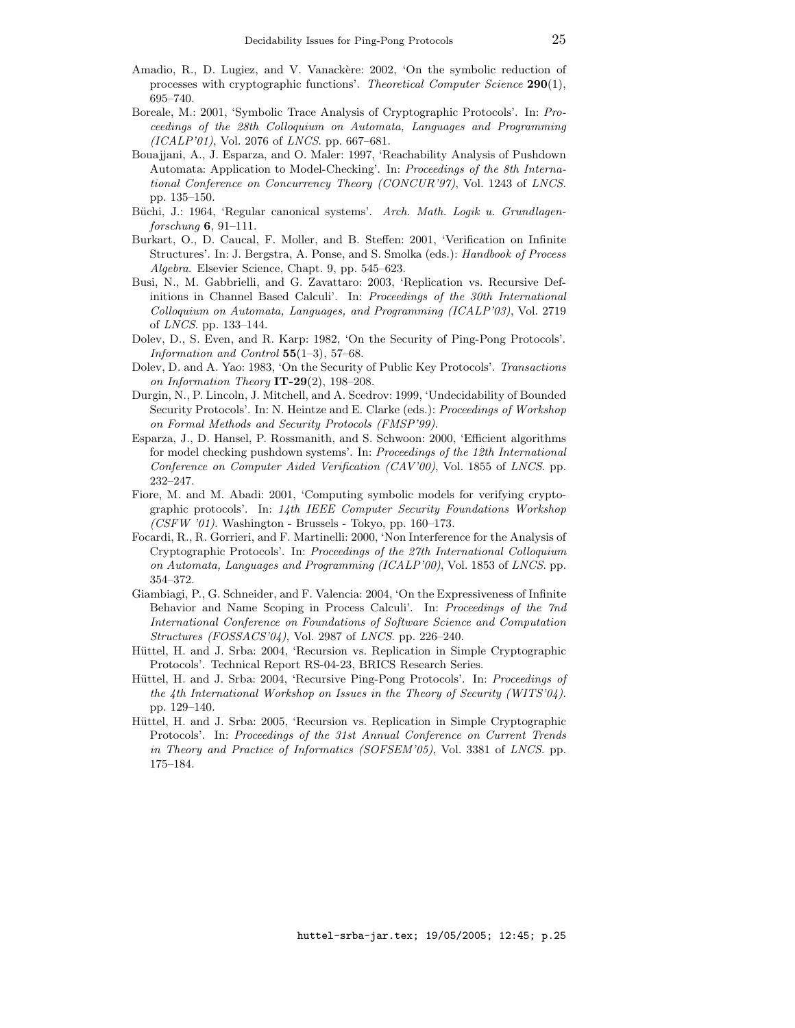- Amadio, R., D. Lugiez, and V. Vanackère: 2002, 'On the symbolic reduction of processes with cryptographic functions'. Theoretical Computer Science 290(1), 695–740.
- Boreale, M.: 2001, 'Symbolic Trace Analysis of Cryptographic Protocols'. In: Proceedings of the 28th Colloquium on Automata, Languages and Programming (ICALP'01), Vol. 2076 of LNCS. pp. 667–681.
- Bouajjani, A., J. Esparza, and O. Maler: 1997, 'Reachability Analysis of Pushdown Automata: Application to Model-Checking'. In: Proceedings of the 8th International Conference on Concurrency Theory (CONCUR'97), Vol. 1243 of LNCS. pp. 135–150.
- Büchi, J.: 1964, 'Regular canonical systems'. Arch. Math. Logik u. Grundlagenforschung  $6, 91-111$ .
- Burkart, O., D. Caucal, F. Moller, and B. Steffen: 2001, 'Verification on Infinite Structures'. In: J. Bergstra, A. Ponse, and S. Smolka (eds.): Handbook of Process Algebra. Elsevier Science, Chapt. 9, pp. 545–623.
- Busi, N., M. Gabbrielli, and G. Zavattaro: 2003, 'Replication vs. Recursive Definitions in Channel Based Calculi'. In: Proceedings of the 30th International Colloquium on Automata, Languages, and Programming (ICALP'03), Vol. 2719 of LNCS. pp. 133–144.
- Dolev, D., S. Even, and R. Karp: 1982, 'On the Security of Ping-Pong Protocols'. Information and Control 55(1–3), 57–68.
- Dolev, D. and A. Yao: 1983, 'On the Security of Public Key Protocols'. Transactions on Information Theory  $IT-29(2)$ , 198-208.
- Durgin, N., P. Lincoln, J. Mitchell, and A. Scedrov: 1999, 'Undecidability of Bounded Security Protocols'. In: N. Heintze and E. Clarke (eds.): Proceedings of Workshop on Formal Methods and Security Protocols (FMSP'99).
- Esparza, J., D. Hansel, P. Rossmanith, and S. Schwoon: 2000, 'Efficient algorithms for model checking pushdown systems'. In: Proceedings of the 12th International Conference on Computer Aided Verification (CAV'00), Vol. 1855 of LNCS. pp. 232–247.
- Fiore, M. and M. Abadi: 2001, 'Computing symbolic models for verifying cryptographic protocols'. In: 14th IEEE Computer Security Foundations Workshop  $(CSFW'01)$ . Washington - Brussels - Tokyo, pp. 160–173.
- Focardi, R., R. Gorrieri, and F. Martinelli: 2000, 'Non Interference for the Analysis of Cryptographic Protocols'. In: Proceedings of the 27th International Colloquium on Automata, Languages and Programming (ICALP'00), Vol. 1853 of LNCS. pp. 354–372.
- Giambiagi, P., G. Schneider, and F. Valencia: 2004, 'On the Expressiveness of Infinite Behavior and Name Scoping in Process Calculi'. In: Proceedings of the 7nd International Conference on Foundations of Software Science and Computation Structures (FOSSACS'04), Vol. 2987 of LNCS. pp. 226–240.
- Hüttel, H. and J. Srba: 2004, 'Recursion vs. Replication in Simple Cryptographic Protocols'. Technical Report RS-04-23, BRICS Research Series.
- Hüttel, H. and J. Srba: 2004, 'Recursive Ping-Pong Protocols'. In: Proceedings of the 4th International Workshop on Issues in the Theory of Security (WITS'04). pp. 129–140.
- Hüttel, H. and J. Srba: 2005, 'Recursion vs. Replication in Simple Cryptographic Protocols'. In: Proceedings of the 31st Annual Conference on Current Trends in Theory and Practice of Informatics (SOFSEM'05), Vol. 3381 of LNCS. pp. 175–184.